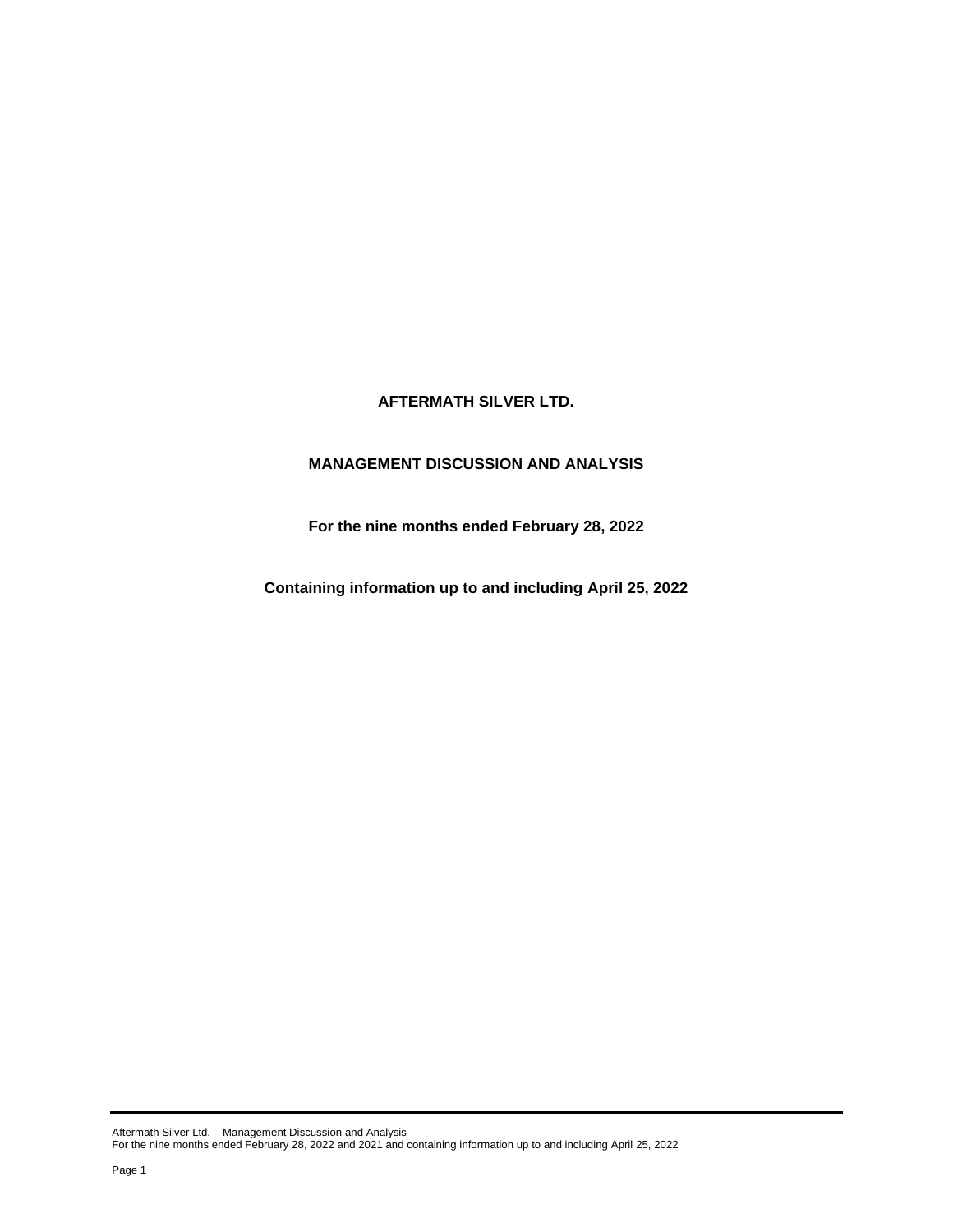# **AFTERMATH SILVER LTD.**

# **MANAGEMENT DISCUSSION AND ANALYSIS**

**For the nine months ended February 28, 2022**

**Containing information up to and including April 25, 2022**

Aftermath Silver Ltd. – Management Discussion and Analysis For the nine months ended February 28, 2022 and 2021 and containing information up to and including April 25, 2022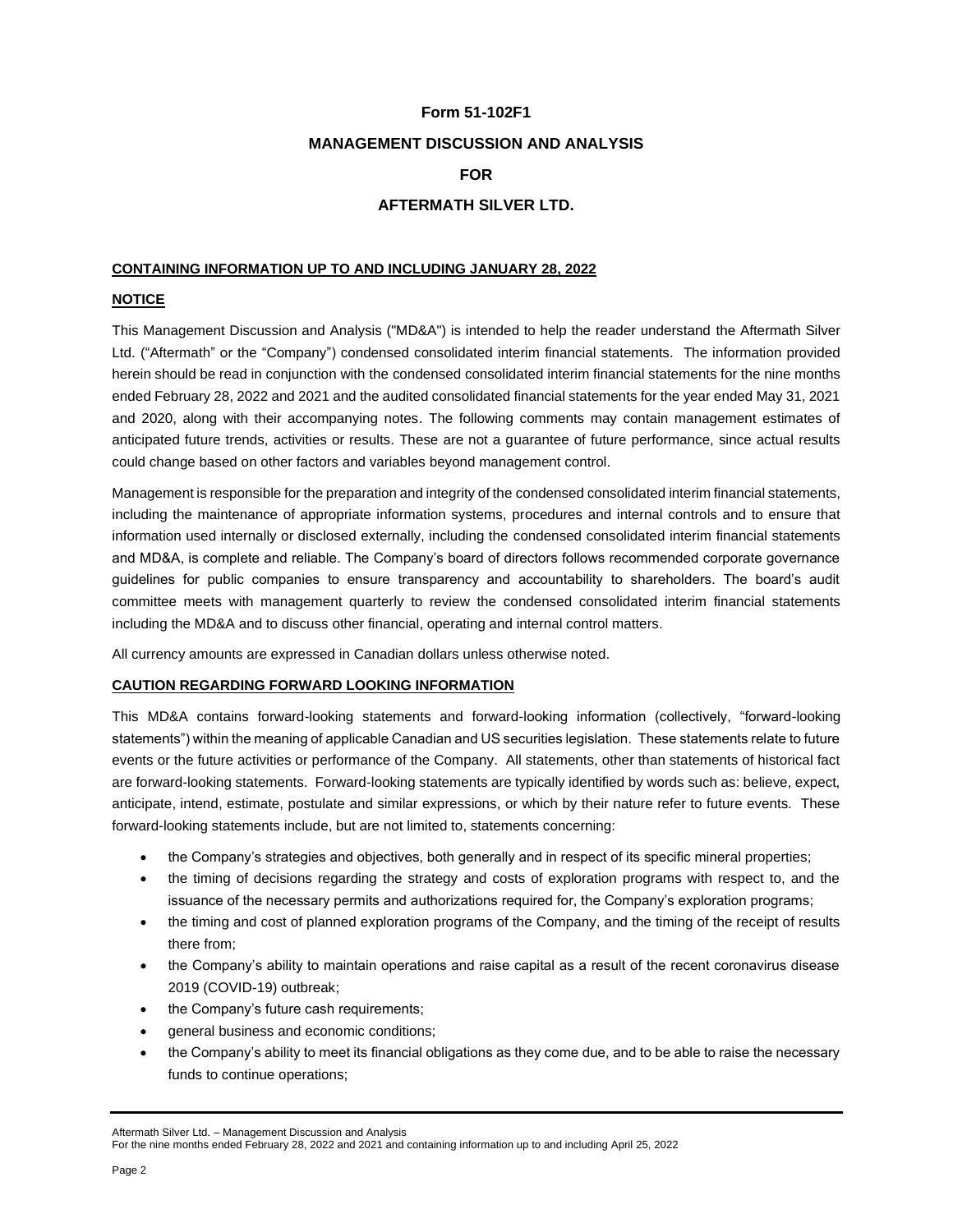# **Form 51-102F1**

## **MANAGEMENT DISCUSSION AND ANALYSIS**

# **FOR**

# **AFTERMATH SILVER LTD.**

## **CONTAINING INFORMATION UP TO AND INCLUDING JANUARY 28, 2022**

## **NOTICE**

This Management Discussion and Analysis ("MD&A") is intended to help the reader understand the Aftermath Silver Ltd. ("Aftermath" or the "Company") condensed consolidated interim financial statements. The information provided herein should be read in conjunction with the condensed consolidated interim financial statements for the nine months ended February 28, 2022 and 2021 and the audited consolidated financial statements for the year ended May 31, 2021 and 2020, along with their accompanying notes. The following comments may contain management estimates of anticipated future trends, activities or results. These are not a guarantee of future performance, since actual results could change based on other factors and variables beyond management control.

Management is responsible for the preparation and integrity of the condensed consolidated interim financial statements, including the maintenance of appropriate information systems, procedures and internal controls and to ensure that information used internally or disclosed externally, including the condensed consolidated interim financial statements and MD&A, is complete and reliable. The Company's board of directors follows recommended corporate governance guidelines for public companies to ensure transparency and accountability to shareholders. The board's audit committee meets with management quarterly to review the condensed consolidated interim financial statements including the MD&A and to discuss other financial, operating and internal control matters.

All currency amounts are expressed in Canadian dollars unless otherwise noted.

## **CAUTION REGARDING FORWARD LOOKING INFORMATION**

This MD&A contains forward-looking statements and forward-looking information (collectively, "forward-looking statements") within the meaning of applicable Canadian and US securities legislation. These statements relate to future events or the future activities or performance of the Company. All statements, other than statements of historical fact are forward-looking statements. Forward-looking statements are typically identified by words such as: believe, expect, anticipate, intend, estimate, postulate and similar expressions, or which by their nature refer to future events. These forward-looking statements include, but are not limited to, statements concerning:

- the Company's strategies and objectives, both generally and in respect of its specific mineral properties;
- the timing of decisions regarding the strategy and costs of exploration programs with respect to, and the issuance of the necessary permits and authorizations required for, the Company's exploration programs;
- the timing and cost of planned exploration programs of the Company, and the timing of the receipt of results there from;
- the Company's ability to maintain operations and raise capital as a result of the recent coronavirus disease 2019 (COVID-19) outbreak;
- the Company's future cash requirements;
- general business and economic conditions;
- the Company's ability to meet its financial obligations as they come due, and to be able to raise the necessary funds to continue operations;

For the nine months ended February 28, 2022 and 2021 and containing information up to and including April 25, 2022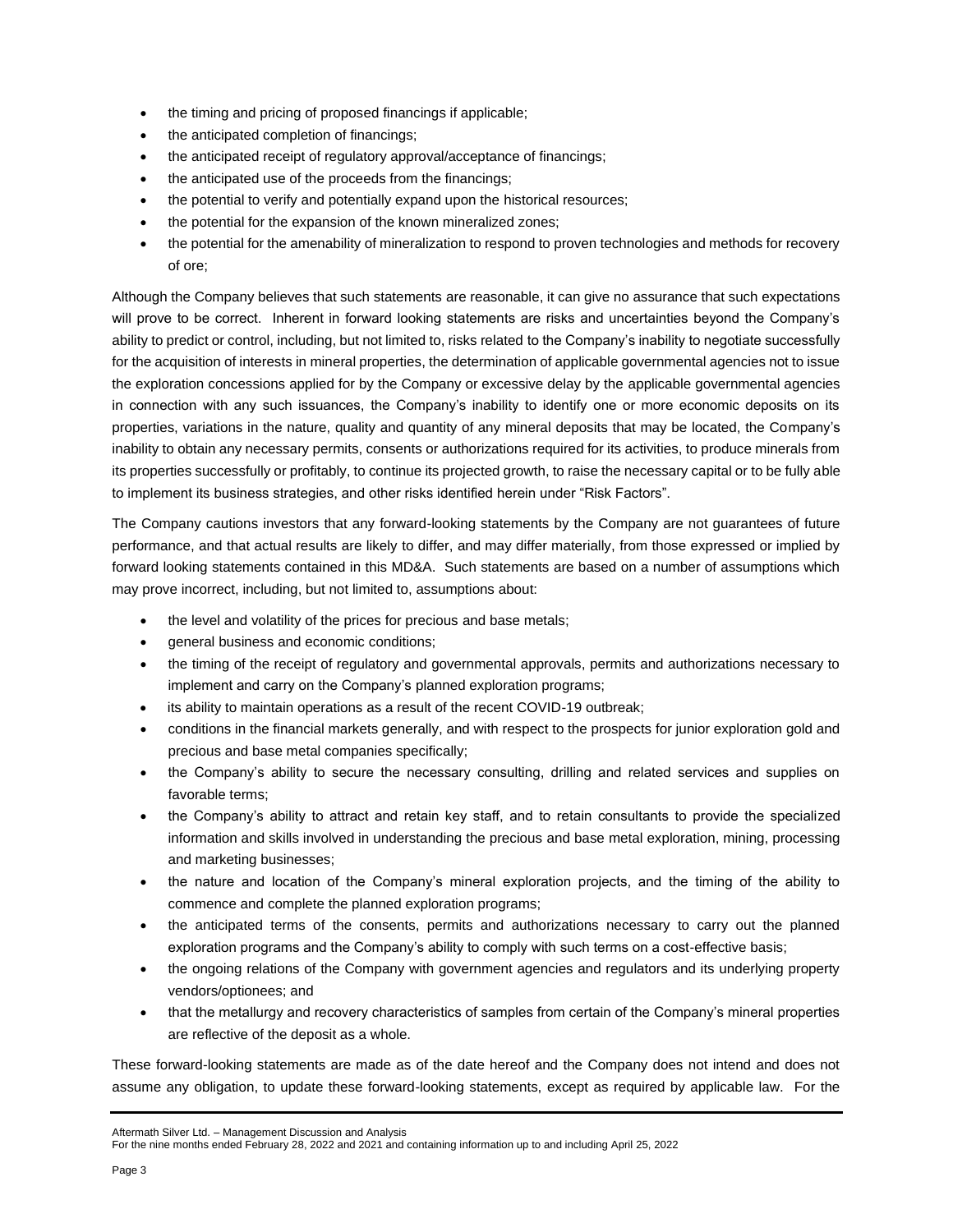- the timing and pricing of proposed financings if applicable;
- the anticipated completion of financings;
- the anticipated receipt of regulatory approval/acceptance of financings;
- the anticipated use of the proceeds from the financings;
- the potential to verify and potentially expand upon the historical resources;
- the potential for the expansion of the known mineralized zones;
- the potential for the amenability of mineralization to respond to proven technologies and methods for recovery of ore;

Although the Company believes that such statements are reasonable, it can give no assurance that such expectations will prove to be correct. Inherent in forward looking statements are risks and uncertainties beyond the Company's ability to predict or control, including, but not limited to, risks related to the Company's inability to negotiate successfully for the acquisition of interests in mineral properties, the determination of applicable governmental agencies not to issue the exploration concessions applied for by the Company or excessive delay by the applicable governmental agencies in connection with any such issuances, the Company's inability to identify one or more economic deposits on its properties, variations in the nature, quality and quantity of any mineral deposits that may be located, the Company's inability to obtain any necessary permits, consents or authorizations required for its activities, to produce minerals from its properties successfully or profitably, to continue its projected growth, to raise the necessary capital or to be fully able to implement its business strategies, and other risks identified herein under "Risk Factors".

The Company cautions investors that any forward-looking statements by the Company are not guarantees of future performance, and that actual results are likely to differ, and may differ materially, from those expressed or implied by forward looking statements contained in this MD&A. Such statements are based on a number of assumptions which may prove incorrect, including, but not limited to, assumptions about:

- the level and volatility of the prices for precious and base metals;
- general business and economic conditions;
- the timing of the receipt of regulatory and governmental approvals, permits and authorizations necessary to implement and carry on the Company's planned exploration programs;
- its ability to maintain operations as a result of the recent COVID-19 outbreak;
- conditions in the financial markets generally, and with respect to the prospects for junior exploration gold and precious and base metal companies specifically;
- the Company's ability to secure the necessary consulting, drilling and related services and supplies on favorable terms;
- the Company's ability to attract and retain key staff, and to retain consultants to provide the specialized information and skills involved in understanding the precious and base metal exploration, mining, processing and marketing businesses;
- the nature and location of the Company's mineral exploration projects, and the timing of the ability to commence and complete the planned exploration programs;
- the anticipated terms of the consents, permits and authorizations necessary to carry out the planned exploration programs and the Company's ability to comply with such terms on a cost-effective basis;
- the ongoing relations of the Company with government agencies and regulators and its underlying property vendors/optionees; and
- that the metallurgy and recovery characteristics of samples from certain of the Company's mineral properties are reflective of the deposit as a whole.

These forward-looking statements are made as of the date hereof and the Company does not intend and does not assume any obligation, to update these forward-looking statements, except as required by applicable law. For the

```
Aftermath Silver Ltd. – Management Discussion and Analysis
```

```
For the nine months ended February 28, 2022 and 2021 and containing information up to and including April 25, 2022
```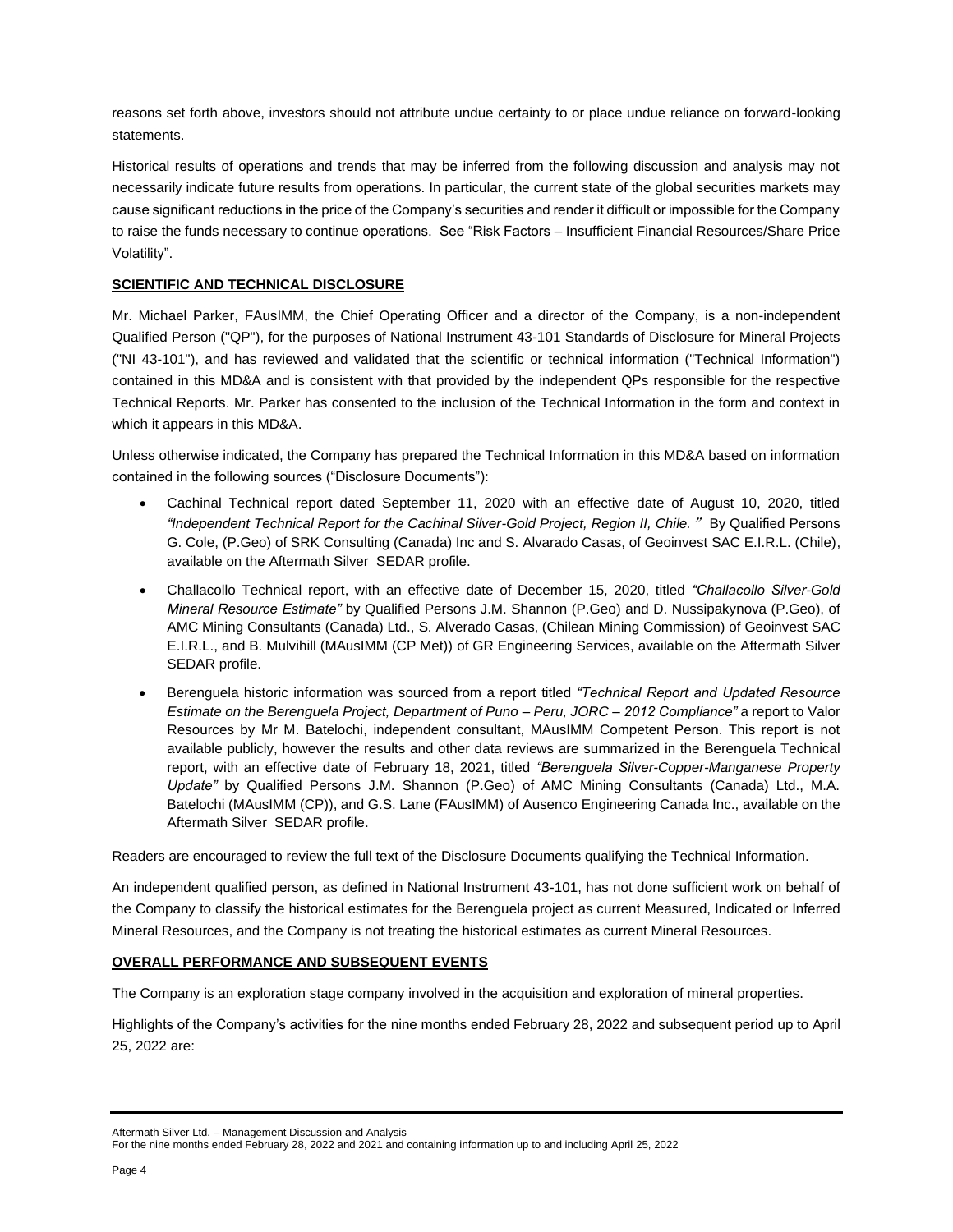reasons set forth above, investors should not attribute undue certainty to or place undue reliance on forward-looking statements.

Historical results of operations and trends that may be inferred from the following discussion and analysis may not necessarily indicate future results from operations. In particular, the current state of the global securities markets may cause significant reductions in the price of the Company's securities and render it difficult or impossible for the Company to raise the funds necessary to continue operations. See "Risk Factors – Insufficient Financial Resources/Share Price Volatility".

# **SCIENTIFIC AND TECHNICAL DISCLOSURE**

Mr. Michael Parker, FAusIMM, the Chief Operating Officer and a director of the Company, is a non-independent Qualified Person ("QP"), for the purposes of National Instrument 43-101 Standards of Disclosure for Mineral Projects ("NI 43-101"), and has reviewed and validated that the scientific or technical information ("Technical Information") contained in this MD&A and is consistent with that provided by the independent QPs responsible for the respective Technical Reports. Mr. Parker has consented to the inclusion of the Technical Information in the form and context in which it appears in this MD&A.

Unless otherwise indicated, the Company has prepared the Technical Information in this MD&A based on information contained in the following sources ("Disclosure Documents"):

- Cachinal Technical report dated September 11, 2020 with an effective date of August 10, 2020, titled *"Independent Technical Report for the Cachinal Silver-Gold Project, Region II, Chile.*" By Qualified Persons G. Cole, (P.Geo) of SRK Consulting (Canada) Inc and S. Alvarado Casas, of Geoinvest SAC E.I.R.L. (Chile), available on the Aftermath Silver SEDAR profile.
- Challacollo Technical report, with an effective date of December 15, 2020, titled *"Challacollo Silver-Gold Mineral Resource Estimate"* by Qualified Persons J.M. Shannon (P.Geo) and D. Nussipakynova (P.Geo), of AMC Mining Consultants (Canada) Ltd., S. Alverado Casas, (Chilean Mining Commission) of Geoinvest SAC E.I.R.L., and B. Mulvihill (MAusIMM (CP Met)) of GR Engineering Services, available on the Aftermath Silver SEDAR profile.
- Berenguela historic information was sourced from a report titled *"Technical Report and Updated Resource Estimate on the Berenguela Project, Department of Puno – Peru, JORC – 2012 Compliance"* a report to Valor Resources by Mr M. Batelochi, independent consultant, MAusIMM Competent Person. This report is not available publicly, however the results and other data reviews are summarized in the Berenguela Technical report, with an effective date of February 18, 2021, titled *"Berenguela Silver-Copper-Manganese Property Update"* by Qualified Persons J.M. Shannon (P.Geo) of AMC Mining Consultants (Canada) Ltd., M.A. Batelochi (MAusIMM (CP)), and G.S. Lane (FAusIMM) of Ausenco Engineering Canada Inc., available on the Aftermath Silver SEDAR profile.

Readers are encouraged to review the full text of the Disclosure Documents qualifying the Technical Information.

An independent qualified person, as defined in National Instrument 43-101, has not done sufficient work on behalf of the Company to classify the historical estimates for the Berenguela project as current Measured, Indicated or Inferred Mineral Resources, and the Company is not treating the historical estimates as current Mineral Resources.

# **OVERALL PERFORMANCE AND SUBSEQUENT EVENTS**

The Company is an exploration stage company involved in the acquisition and exploration of mineral properties.

Highlights of the Company's activities for the nine months ended February 28, 2022 and subsequent period up to April 25, 2022 are:

Aftermath Silver Ltd. – Management Discussion and Analysis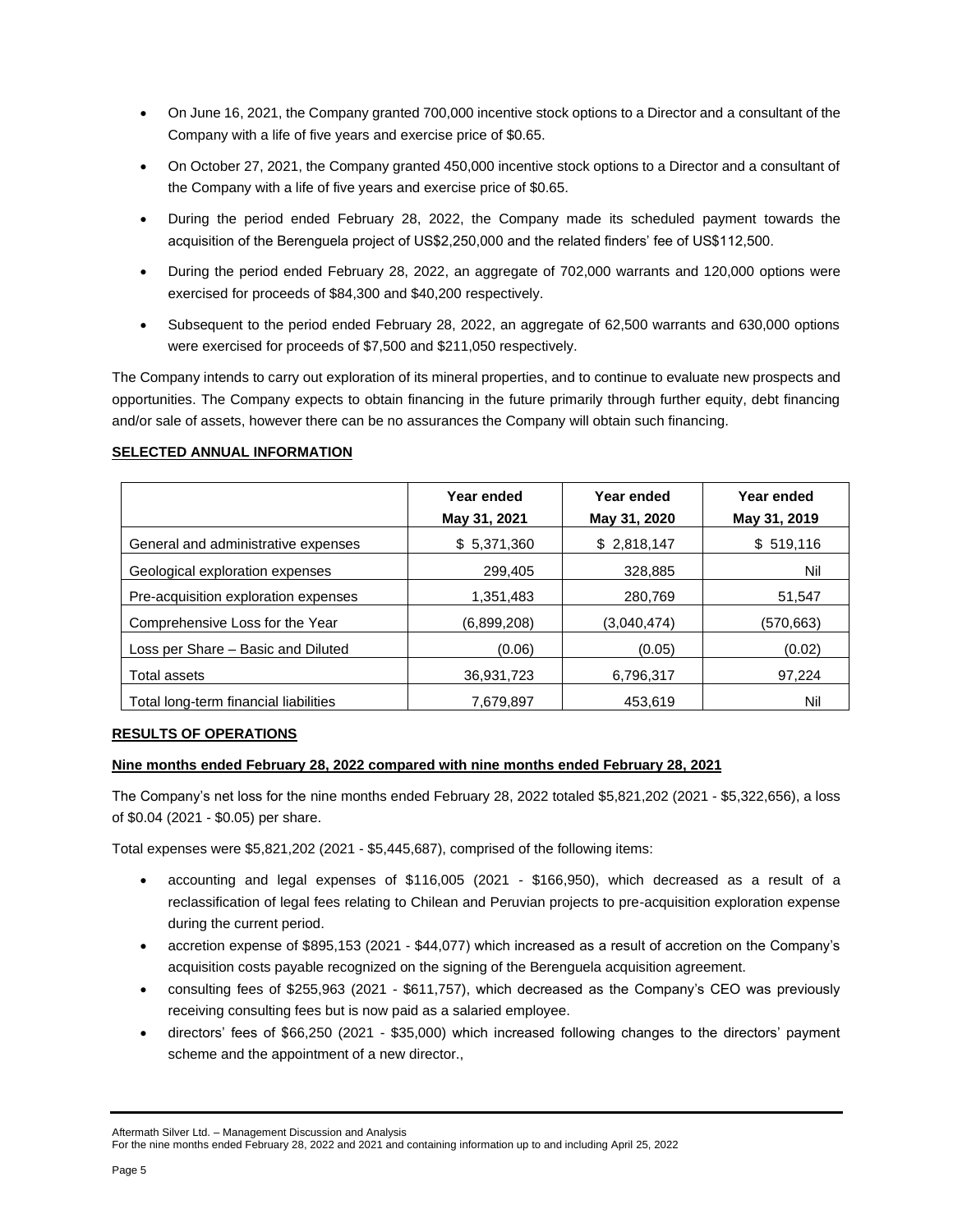- On June 16, 2021, the Company granted 700,000 incentive stock options to a Director and a consultant of the Company with a life of five years and exercise price of \$0.65.
- On October 27, 2021, the Company granted 450,000 incentive stock options to a Director and a consultant of the Company with a life of five years and exercise price of \$0.65.
- During the period ended February 28, 2022, the Company made its scheduled payment towards the acquisition of the Berenguela project of US\$2,250,000 and the related finders' fee of US\$112,500.
- During the period ended February 28, 2022, an aggregate of 702,000 warrants and 120,000 options were exercised for proceeds of \$84,300 and \$40,200 respectively.
- Subsequent to the period ended February 28, 2022, an aggregate of 62,500 warrants and 630,000 options were exercised for proceeds of \$7,500 and \$211,050 respectively.

The Company intends to carry out exploration of its mineral properties, and to continue to evaluate new prospects and opportunities. The Company expects to obtain financing in the future primarily through further equity, debt financing and/or sale of assets, however there can be no assurances the Company will obtain such financing.

## **SELECTED ANNUAL INFORMATION**

|                                       | Year ended<br>May 31, 2021 | Year ended<br>May 31, 2020 | Year ended<br>May 31, 2019 |
|---------------------------------------|----------------------------|----------------------------|----------------------------|
| General and administrative expenses   | \$5,371,360                | \$2,818,147                | \$519,116                  |
| Geological exploration expenses       | 299,405                    | 328,885                    | Nil                        |
| Pre-acquisition exploration expenses  | 1.351.483                  | 280.769                    | 51,547                     |
| Comprehensive Loss for the Year       | (6,899,208)                | (3,040,474)                | (570,663)                  |
| Loss per Share - Basic and Diluted    | (0.06)                     | (0.05)                     | (0.02)                     |
| Total assets                          | 36,931,723                 | 6,796,317                  | 97,224                     |
| Total long-term financial liabilities | 7.679.897                  | 453.619                    | Nil                        |

## **RESULTS OF OPERATIONS**

# **Nine months ended February 28, 2022 compared with nine months ended February 28, 2021**

The Company's net loss for the nine months ended February 28, 2022 totaled \$5,821,202 (2021 - \$5,322,656), a loss of \$0.04 (2021 - \$0.05) per share.

Total expenses were \$5,821,202 (2021 - \$5,445,687), comprised of the following items:

- accounting and legal expenses of \$116,005 (2021 \$166,950), which decreased as a result of a reclassification of legal fees relating to Chilean and Peruvian projects to pre-acquisition exploration expense during the current period.
- accretion expense of \$895,153 (2021 \$44,077) which increased as a result of accretion on the Company's acquisition costs payable recognized on the signing of the Berenguela acquisition agreement.
- consulting fees of \$255,963 (2021 \$611,757), which decreased as the Company's CEO was previously receiving consulting fees but is now paid as a salaried employee.
- directors' fees of \$66,250 (2021 \$35,000) which increased following changes to the directors' payment scheme and the appointment of a new director.,

Aftermath Silver Ltd. – Management Discussion and Analysis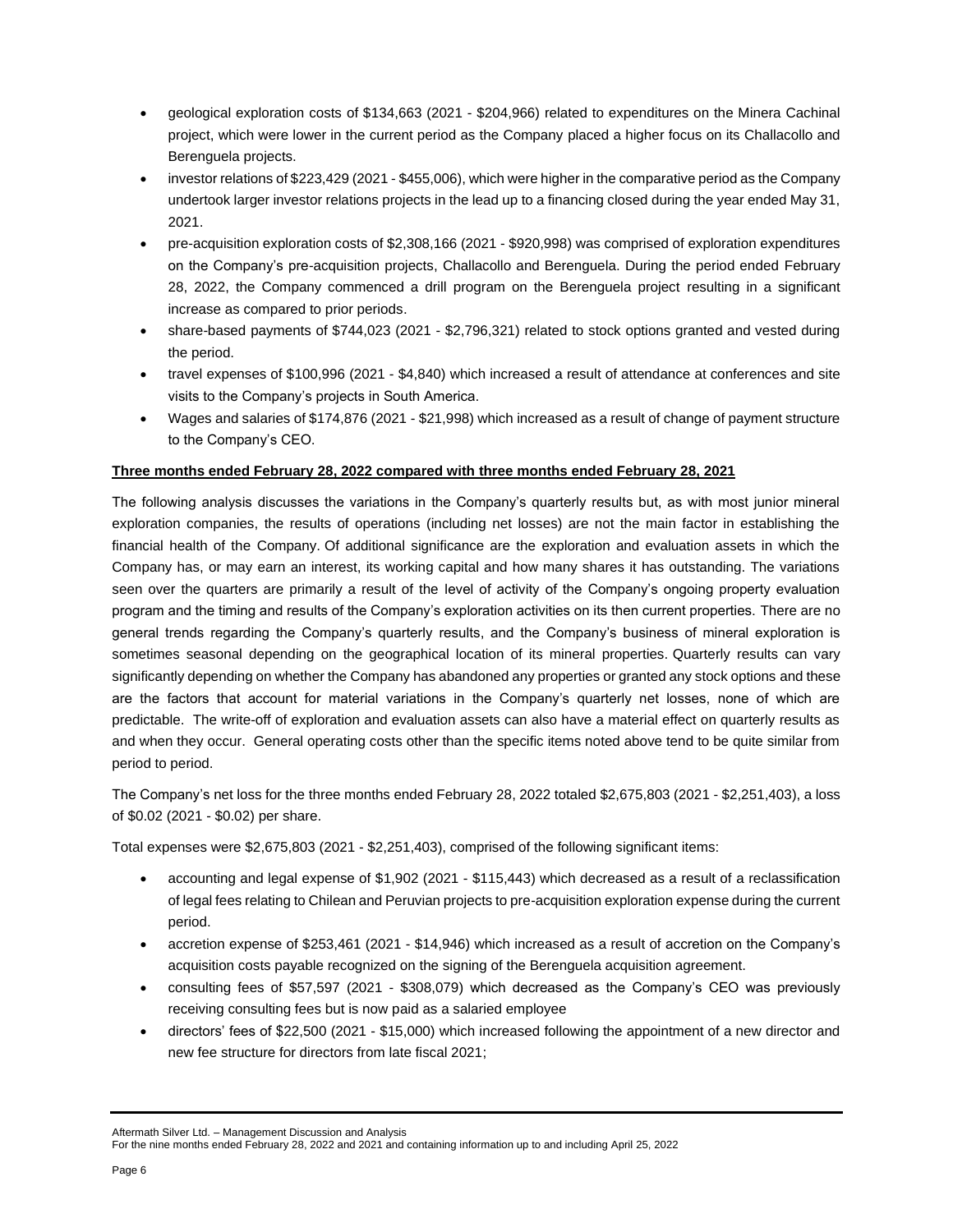- geological exploration costs of \$134,663 (2021 \$204,966) related to expenditures on the Minera Cachinal project, which were lower in the current period as the Company placed a higher focus on its Challacollo and Berenguela projects.
- investor relations of \$223,429 (2021 \$455,006), which were higher in the comparative period as the Company undertook larger investor relations projects in the lead up to a financing closed during the year ended May 31, 2021.
- pre-acquisition exploration costs of \$2,308,166 (2021 \$920,998) was comprised of exploration expenditures on the Company's pre-acquisition projects, Challacollo and Berenguela. During the period ended February 28, 2022, the Company commenced a drill program on the Berenguela project resulting in a significant increase as compared to prior periods.
- share-based payments of \$744,023 (2021 \$2,796,321) related to stock options granted and vested during the period.
- travel expenses of \$100,996 (2021 \$4,840) which increased a result of attendance at conferences and site visits to the Company's projects in South America.
- Wages and salaries of \$174,876 (2021 \$21,998) which increased as a result of change of payment structure to the Company's CEO.

# **Three months ended February 28, 2022 compared with three months ended February 28, 2021**

The following analysis discusses the variations in the Company's quarterly results but, as with most junior mineral exploration companies, the results of operations (including net losses) are not the main factor in establishing the financial health of the Company. Of additional significance are the exploration and evaluation assets in which the Company has, or may earn an interest, its working capital and how many shares it has outstanding. The variations seen over the quarters are primarily a result of the level of activity of the Company's ongoing property evaluation program and the timing and results of the Company's exploration activities on its then current properties. There are no general trends regarding the Company's quarterly results, and the Company's business of mineral exploration is sometimes seasonal depending on the geographical location of its mineral properties. Quarterly results can vary significantly depending on whether the Company has abandoned any properties or granted any stock options and these are the factors that account for material variations in the Company's quarterly net losses, none of which are predictable. The write-off of exploration and evaluation assets can also have a material effect on quarterly results as and when they occur. General operating costs other than the specific items noted above tend to be quite similar from period to period.

The Company's net loss for the three months ended February 28, 2022 totaled \$2,675,803 (2021 - \$2,251,403), a loss of \$0.02 (2021 - \$0.02) per share.

Total expenses were \$2,675,803 (2021 - \$2,251,403), comprised of the following significant items:

- accounting and legal expense of \$1,902 (2021 \$115,443) which decreased as a result of a reclassification of legal fees relating to Chilean and Peruvian projects to pre-acquisition exploration expense during the current period.
- accretion expense of \$253,461 (2021 \$14,946) which increased as a result of accretion on the Company's acquisition costs payable recognized on the signing of the Berenguela acquisition agreement.
- consulting fees of \$57,597 (2021 \$308,079) which decreased as the Company's CEO was previously receiving consulting fees but is now paid as a salaried employee
- directors' fees of \$22,500 (2021 \$15,000) which increased following the appointment of a new director and new fee structure for directors from late fiscal 2021;

For the nine months ended February 28, 2022 and 2021 and containing information up to and including April 25, 2022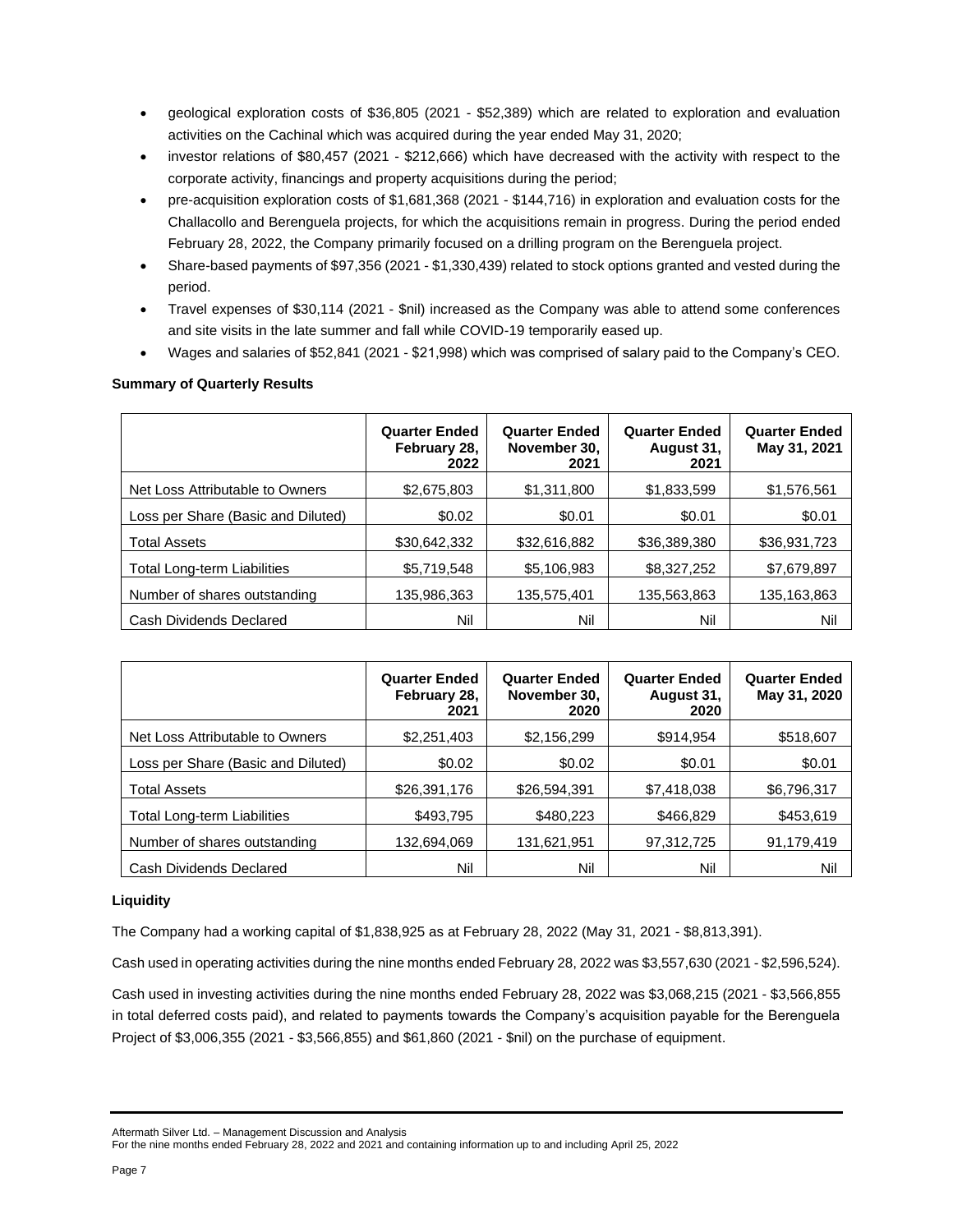- geological exploration costs of \$36,805 (2021 \$52,389) which are related to exploration and evaluation activities on the Cachinal which was acquired during the year ended May 31, 2020;
- investor relations of \$80,457 (2021 \$212,666) which have decreased with the activity with respect to the corporate activity, financings and property acquisitions during the period;
- pre-acquisition exploration costs of \$1,681,368 (2021 \$144,716) in exploration and evaluation costs for the Challacollo and Berenguela projects, for which the acquisitions remain in progress. During the period ended February 28, 2022, the Company primarily focused on a drilling program on the Berenguela project.
- Share-based payments of \$97,356 (2021 \$1,330,439) related to stock options granted and vested during the period.
- Travel expenses of \$30,114 (2021 \$nil) increased as the Company was able to attend some conferences and site visits in the late summer and fall while COVID-19 temporarily eased up.
- Wages and salaries of \$52,841 (2021 \$21,998) which was comprised of salary paid to the Company's CEO.

# **Summary of Quarterly Results**

|                                    | <b>Quarter Ended</b><br>February 28,<br>2022 | <b>Quarter Ended</b><br>November 30,<br>2021 | <b>Quarter Ended</b><br>August 31,<br>2021 | <b>Quarter Ended</b><br>May 31, 2021 |
|------------------------------------|----------------------------------------------|----------------------------------------------|--------------------------------------------|--------------------------------------|
| Net Loss Attributable to Owners    | \$2,675,803                                  | \$1,311,800                                  | \$1,833,599                                | \$1,576,561                          |
| Loss per Share (Basic and Diluted) | \$0.02                                       | \$0.01                                       | \$0.01                                     | \$0.01                               |
| <b>Total Assets</b>                | \$30,642,332                                 | \$32,616,882                                 | \$36,389,380                               | \$36,931,723                         |
| <b>Total Long-term Liabilities</b> | \$5,719,548                                  | \$5,106,983                                  | \$8,327,252                                | \$7,679,897                          |
| Number of shares outstanding       | 135,986,363                                  | 135,575,401                                  | 135,563,863                                | 135,163,863                          |
| Cash Dividends Declared            | Nil                                          | Nil                                          | Nil                                        | Nil                                  |

|                                    | <b>Quarter Ended</b><br>February 28,<br>2021 | <b>Quarter Ended</b><br>November 30,<br>2020 | <b>Quarter Ended</b><br>August 31,<br>2020 | <b>Quarter Ended</b><br>May 31, 2020 |
|------------------------------------|----------------------------------------------|----------------------------------------------|--------------------------------------------|--------------------------------------|
| Net Loss Attributable to Owners    | \$2,251,403                                  | \$2,156,299                                  | \$914,954                                  | \$518,607                            |
| Loss per Share (Basic and Diluted) | \$0.02                                       | \$0.02                                       | \$0.01                                     | \$0.01                               |
| <b>Total Assets</b>                | \$26,391,176                                 | \$26,594,391                                 | \$7,418,038                                | \$6,796,317                          |
| <b>Total Long-term Liabilities</b> | \$493,795                                    | \$480,223                                    | \$466,829                                  | \$453,619                            |
| Number of shares outstanding       | 132,694,069                                  | 131,621,951                                  | 97,312,725                                 | 91,179,419                           |
| Cash Dividends Declared            | Nil                                          | Nil                                          | Nil                                        | Nil                                  |

# **Liquidity**

The Company had a working capital of \$1,838,925 as at February 28, 2022 (May 31, 2021 - \$8,813,391).

Cash used in operating activities during the nine months ended February 28, 2022 was \$3,557,630 (2021 - \$2,596,524).

Cash used in investing activities during the nine months ended February 28, 2022 was \$3,068,215 (2021 - \$3,566,855 in total deferred costs paid), and related to payments towards the Company's acquisition payable for the Berenguela Project of \$3,006,355 (2021 - \$3,566,855) and \$61,860 (2021 - \$nil) on the purchase of equipment.

Aftermath Silver Ltd. – Management Discussion and Analysis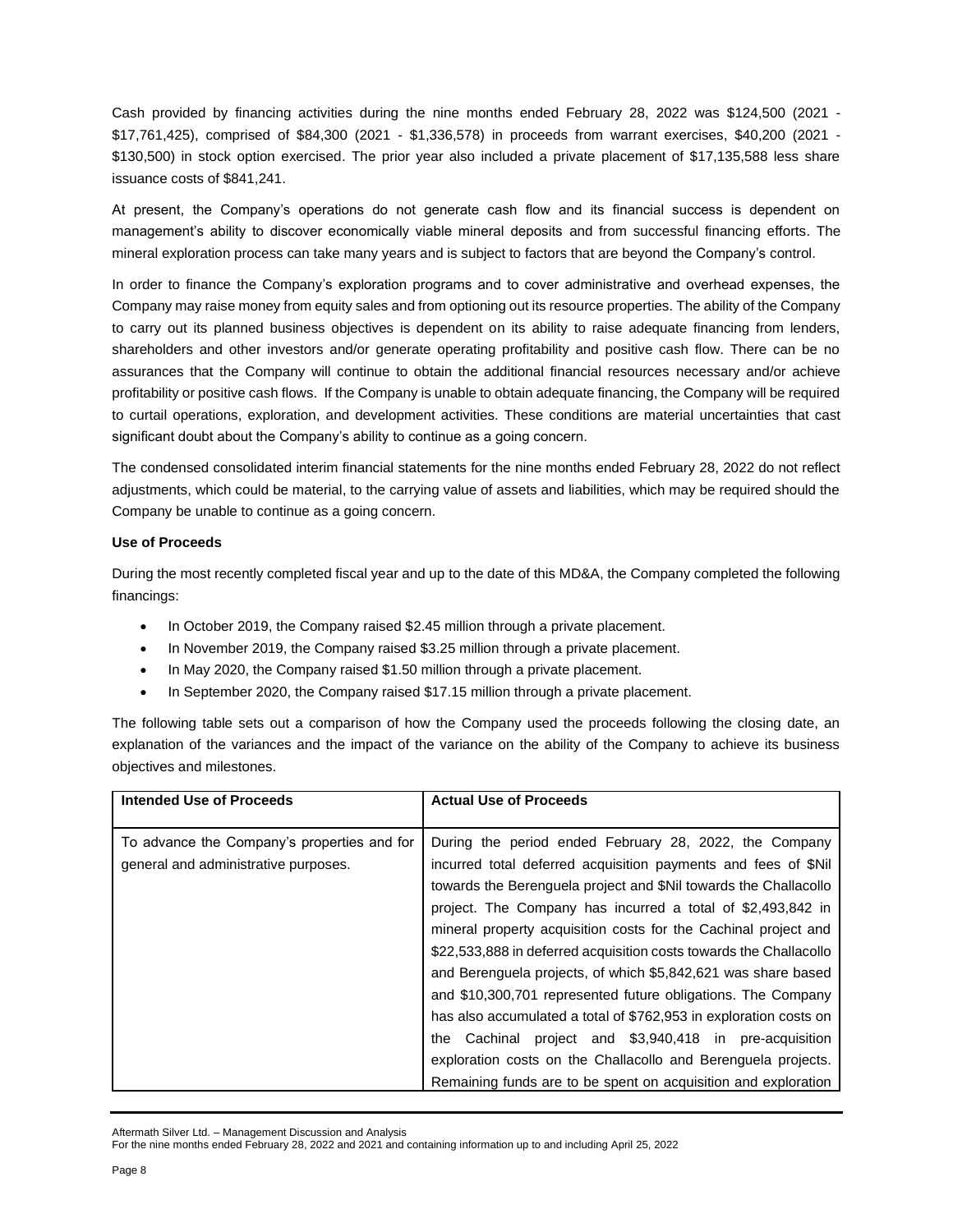Cash provided by financing activities during the nine months ended February 28, 2022 was \$124,500 (2021 - \$17,761,425), comprised of \$84,300 (2021 - \$1,336,578) in proceeds from warrant exercises, \$40,200 (2021 - \$130,500) in stock option exercised. The prior year also included a private placement of \$17,135,588 less share issuance costs of \$841,241.

At present, the Company's operations do not generate cash flow and its financial success is dependent on management's ability to discover economically viable mineral deposits and from successful financing efforts. The mineral exploration process can take many years and is subject to factors that are beyond the Company's control.

In order to finance the Company's exploration programs and to cover administrative and overhead expenses, the Company may raise money from equity sales and from optioning out its resource properties. The ability of the Company to carry out its planned business objectives is dependent on its ability to raise adequate financing from lenders, shareholders and other investors and/or generate operating profitability and positive cash flow. There can be no assurances that the Company will continue to obtain the additional financial resources necessary and/or achieve profitability or positive cash flows. If the Company is unable to obtain adequate financing, the Company will be required to curtail operations, exploration, and development activities. These conditions are material uncertainties that cast significant doubt about the Company's ability to continue as a going concern.

The condensed consolidated interim financial statements for the nine months ended February 28, 2022 do not reflect adjustments, which could be material, to the carrying value of assets and liabilities, which may be required should the Company be unable to continue as a going concern.

## **Use of Proceeds**

During the most recently completed fiscal year and up to the date of this MD&A, the Company completed the following financings:

- In October 2019, the Company raised \$2.45 million through a private placement.
- In November 2019, the Company raised \$3.25 million through a private placement.
- In May 2020, the Company raised \$1.50 million through a private placement.
- In September 2020, the Company raised \$17.15 million through a private placement.

The following table sets out a comparison of how the Company used the proceeds following the closing date, an explanation of the variances and the impact of the variance on the ability of the Company to achieve its business objectives and milestones.

| <b>Intended Use of Proceeds</b>                                                     | <b>Actual Use of Proceeds</b>                                                                                                                                                                                                                                                                                                                                                                                                                                                                                                                                                                                                                                                                                                          |
|-------------------------------------------------------------------------------------|----------------------------------------------------------------------------------------------------------------------------------------------------------------------------------------------------------------------------------------------------------------------------------------------------------------------------------------------------------------------------------------------------------------------------------------------------------------------------------------------------------------------------------------------------------------------------------------------------------------------------------------------------------------------------------------------------------------------------------------|
| To advance the Company's properties and for<br>general and administrative purposes. | During the period ended February 28, 2022, the Company<br>incurred total deferred acquisition payments and fees of \$Nil<br>towards the Berenguela project and \$Nil towards the Challacollo<br>project. The Company has incurred a total of \$2,493,842 in<br>mineral property acquisition costs for the Cachinal project and<br>\$22,533,888 in deferred acquisition costs towards the Challacollo<br>and Berenguela projects, of which \$5,842,621 was share based<br>and \$10,300,701 represented future obligations. The Company<br>has also accumulated a total of \$762,953 in exploration costs on<br>the Cachinal project and \$3,940,418 in pre-acquisition<br>exploration costs on the Challacollo and Berenguela projects. |
|                                                                                     | Remaining funds are to be spent on acquisition and exploration                                                                                                                                                                                                                                                                                                                                                                                                                                                                                                                                                                                                                                                                         |

Aftermath Silver Ltd. – Management Discussion and Analysis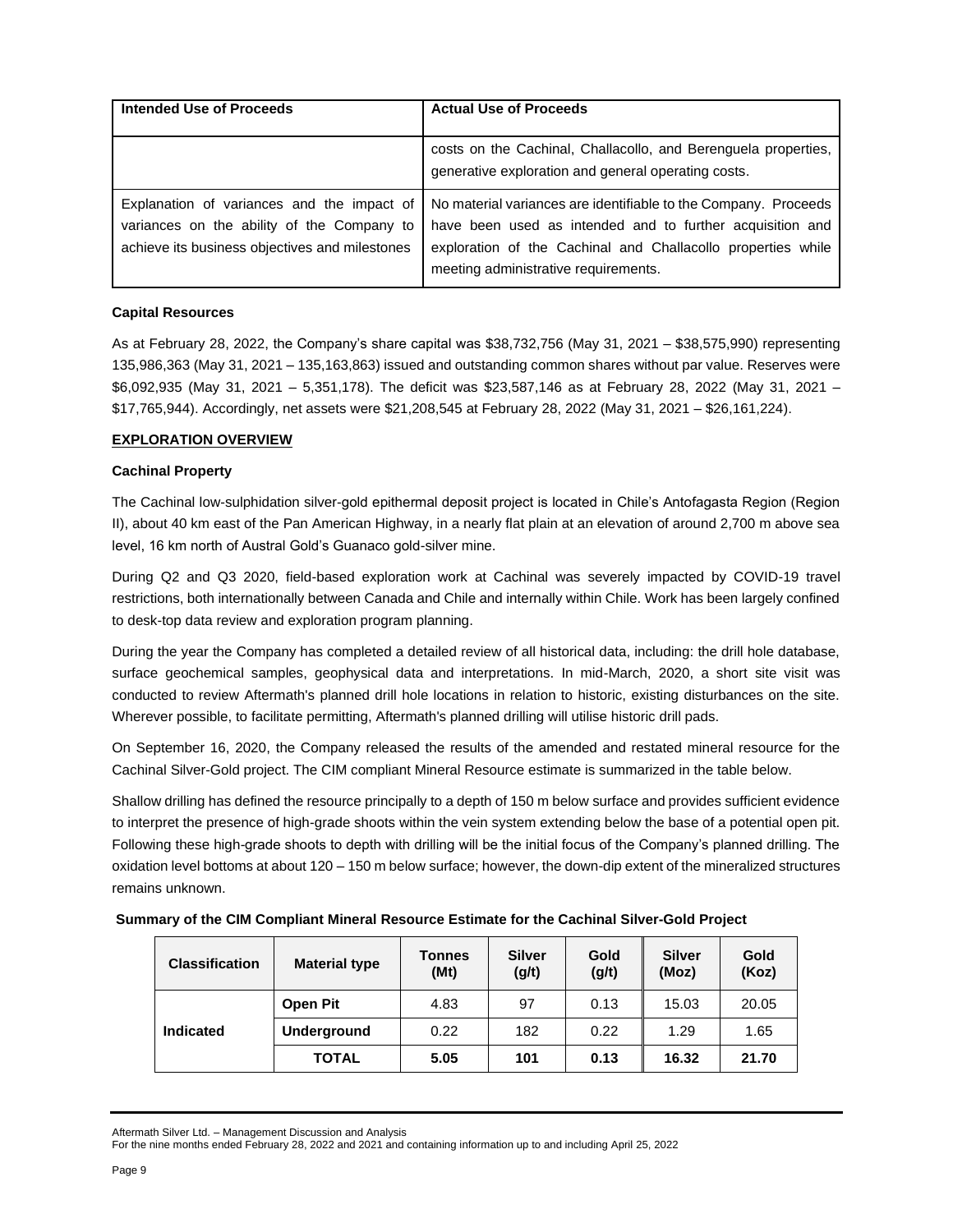| Intended Use of Proceeds                                                                                                                   | <b>Actual Use of Proceeds</b>                                                                                                                                                                                                        |
|--------------------------------------------------------------------------------------------------------------------------------------------|--------------------------------------------------------------------------------------------------------------------------------------------------------------------------------------------------------------------------------------|
|                                                                                                                                            | costs on the Cachinal, Challacollo, and Berenguela properties,<br>generative exploration and general operating costs.                                                                                                                |
| Explanation of variances and the impact of<br>variances on the ability of the Company to<br>achieve its business objectives and milestones | No material variances are identifiable to the Company. Proceeds<br>have been used as intended and to further acquisition and<br>exploration of the Cachinal and Challacollo properties while<br>meeting administrative requirements. |

# **Capital Resources**

As at February 28, 2022, the Company's share capital was \$38,732,756 (May 31, 2021 – \$38,575,990) representing 135,986,363 (May 31, 2021 – 135,163,863) issued and outstanding common shares without par value. Reserves were \$6,092,935 (May 31, 2021 – 5,351,178). The deficit was \$23,587,146 as at February 28, 2022 (May 31, 2021 – \$17,765,944). Accordingly, net assets were \$21,208,545 at February 28, 2022 (May 31, 2021 – \$26,161,224).

## **EXPLORATION OVERVIEW**

## **Cachinal Property**

The Cachinal low-sulphidation silver-gold epithermal deposit project is located in Chile's Antofagasta Region (Region II), about 40 km east of the Pan American Highway, in a nearly flat plain at an elevation of around 2,700 m above sea level, 16 km north of Austral Gold's Guanaco gold-silver mine.

During Q2 and Q3 2020, field-based exploration work at Cachinal was severely impacted by COVID-19 travel restrictions, both internationally between Canada and Chile and internally within Chile. Work has been largely confined to desk-top data review and exploration program planning.

During the year the Company has completed a detailed review of all historical data, including: the drill hole database, surface geochemical samples, geophysical data and interpretations. In mid-March, 2020, a short site visit was conducted to review Aftermath's planned drill hole locations in relation to historic, existing disturbances on the site. Wherever possible, to facilitate permitting, Aftermath's planned drilling will utilise historic drill pads.

On September 16, 2020, the Company released the results of the amended and restated mineral resource for the Cachinal Silver-Gold project. The CIM compliant Mineral Resource estimate is summarized in the table below.

Shallow drilling has defined the resource principally to a depth of 150 m below surface and provides sufficient evidence to interpret the presence of high-grade shoots within the vein system extending below the base of a potential open pit. Following these high-grade shoots to depth with drilling will be the initial focus of the Company's planned drilling. The oxidation level bottoms at about 120 – 150 m below surface; however, the down-dip extent of the mineralized structures remains unknown.

| Summary of the CIM Compliant Mineral Resource Estimate for the Cachinal Silver-Gold Project |
|---------------------------------------------------------------------------------------------|
|---------------------------------------------------------------------------------------------|

| <b>Classification</b> | <b>Material type</b> | <b>Tonnes</b><br>(Mt) | <b>Silver</b><br>(g/t) | Gold<br>(g/t) | <b>Silver</b><br>(Moz) | Gold<br>(Koz) |
|-----------------------|----------------------|-----------------------|------------------------|---------------|------------------------|---------------|
| Indicated             | Open Pit             | 4.83                  | 97                     | 0.13          | 15.03                  | 20.05         |
|                       | <b>Underground</b>   | 0.22                  | 182                    | 0.22          | 1.29                   | 1.65          |
|                       | <b>TOTAL</b>         | 5.05                  | 101                    | 0.13          | 16.32                  | 21.70         |

Aftermath Silver Ltd. – Management Discussion and Analysis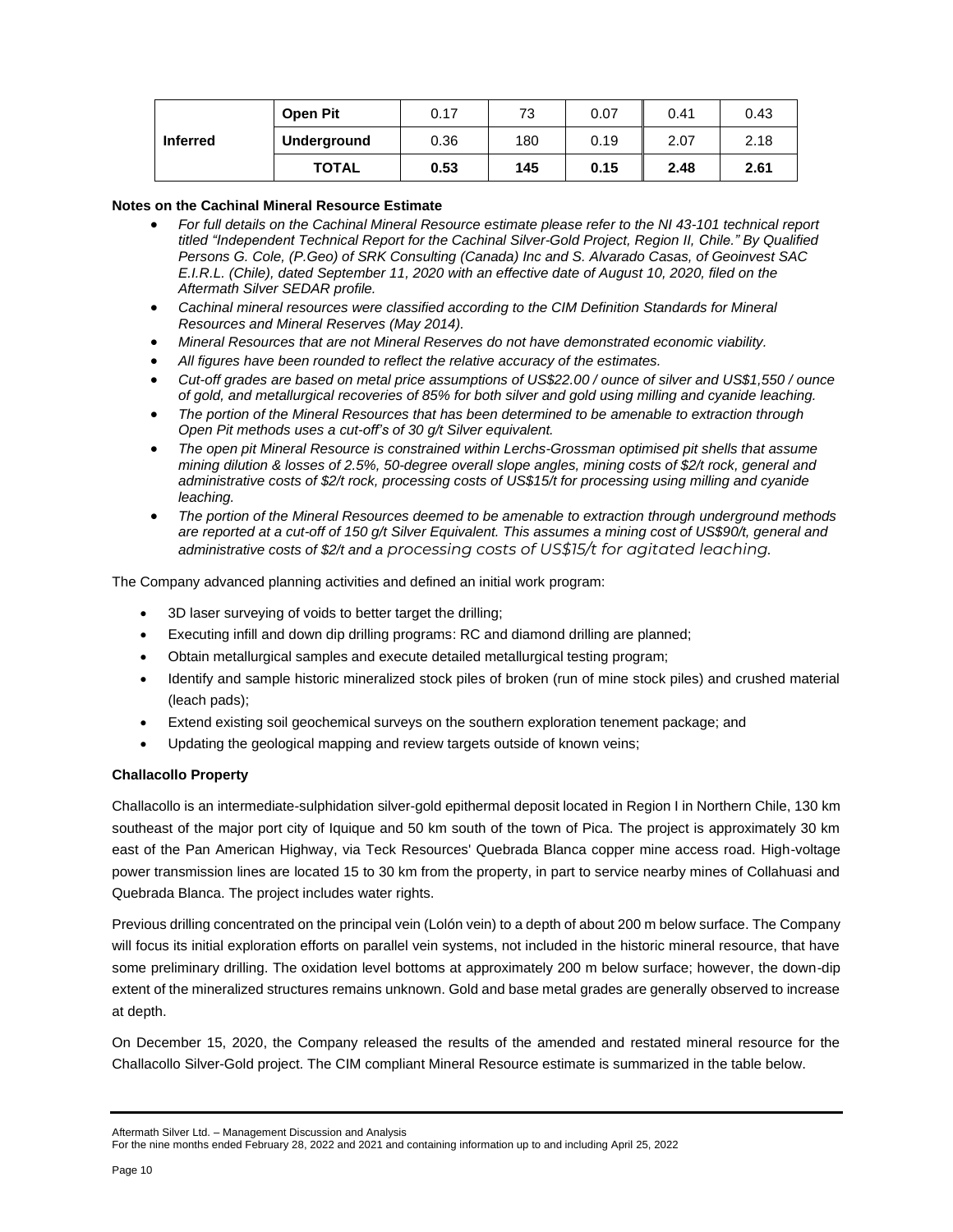|                 | <b>Open Pit</b> | 0.17 | 73  | 0.07 | 0.41 | 0.43 |
|-----------------|-----------------|------|-----|------|------|------|
| <b>Inferred</b> | Underground     | 0.36 | 180 | 0.19 | 2.07 | 2.18 |
|                 | <b>TOTAL</b>    | 0.53 | 145 | 0.15 | 2.48 | 2.61 |

## **Notes on the Cachinal Mineral Resource Estimate**

- For full details on the Cachinal Mineral Resource estimate please refer to the NI 43-101 technical report *titled "Independent Technical Report for the Cachinal Silver-Gold Project, Region II, Chile." By Qualified Persons G. Cole, (P.Geo) of SRK Consulting (Canada) Inc and S. Alvarado Casas, of Geoinvest SAC E.I.R.L. (Chile), dated September 11, 2020 with an effective date of August 10, 2020, filed on the Aftermath Silver SEDAR profile.*
- *Cachinal mineral resources were classified according to the CIM Definition Standards for Mineral Resources and Mineral Reserves (May 2014).*
- *Mineral Resources that are not Mineral Reserves do not have demonstrated economic viability.*
- *All figures have been rounded to reflect the relative accuracy of the estimates.*
- Cut-off grades are based on metal price assumptions of US\$22.00 / ounce of silver and US\$1,550 / ounce *of gold, and metallurgical recoveries of 85% for both silver and gold using milling and cyanide leaching.*
- *The portion of the Mineral Resources that has been determined to be amenable to extraction through Open Pit methods uses a cut-off's of 30 g/t Silver equivalent.*
- *The open pit Mineral Resource is constrained within Lerchs-Grossman optimised pit shells that assume mining dilution & losses of 2.5%, 50-degree overall slope angles, mining costs of \$2/t rock, general and administrative costs of \$2/t rock, processing costs of US\$15/t for processing using milling and cyanide leaching.*
- *The portion of the Mineral Resources deemed to be amenable to extraction through underground methods* are reported at a cut-off of 150 g/t Silver Equivalent. This assumes a mining cost of US\$90/t, general and *administrative costs of \$2/t and a processing costs of US\$15/t for agitated leaching.*

The Company advanced planning activities and defined an initial work program:

- 3D laser surveying of voids to better target the drilling;
- Executing infill and down dip drilling programs: RC and diamond drilling are planned;
- Obtain metallurgical samples and execute detailed metallurgical testing program;
- Identify and sample historic mineralized stock piles of broken (run of mine stock piles) and crushed material (leach pads);
- Extend existing soil geochemical surveys on the southern exploration tenement package; and
- Updating the geological mapping and review targets outside of known veins;

## **Challacollo Property**

Challacollo is an intermediate-sulphidation silver-gold epithermal deposit located in Region I in Northern Chile, 130 km southeast of the major port city of Iquique and 50 km south of the town of Pica. The project is approximately 30 km east of the Pan American Highway, via Teck Resources' Quebrada Blanca copper mine access road. High-voltage power transmission lines are located 15 to 30 km from the property, in part to service nearby mines of Collahuasi and Quebrada Blanca. The project includes water rights.

Previous drilling concentrated on the principal vein (Lolón vein) to a depth of about 200 m below surface. The Company will focus its initial exploration efforts on parallel vein systems, not included in the historic mineral resource, that have some preliminary drilling. The oxidation level bottoms at approximately 200 m below surface; however, the down-dip extent of the mineralized structures remains unknown. Gold and base metal grades are generally observed to increase at depth.

On December 15, 2020, the Company released the results of the amended and restated mineral resource for the Challacollo Silver-Gold project. The CIM compliant Mineral Resource estimate is summarized in the table below.

Aftermath Silver Ltd. – Management Discussion and Analysis

For the nine months ended February 28, 2022 and 2021 and containing information up to and including April 25, 2022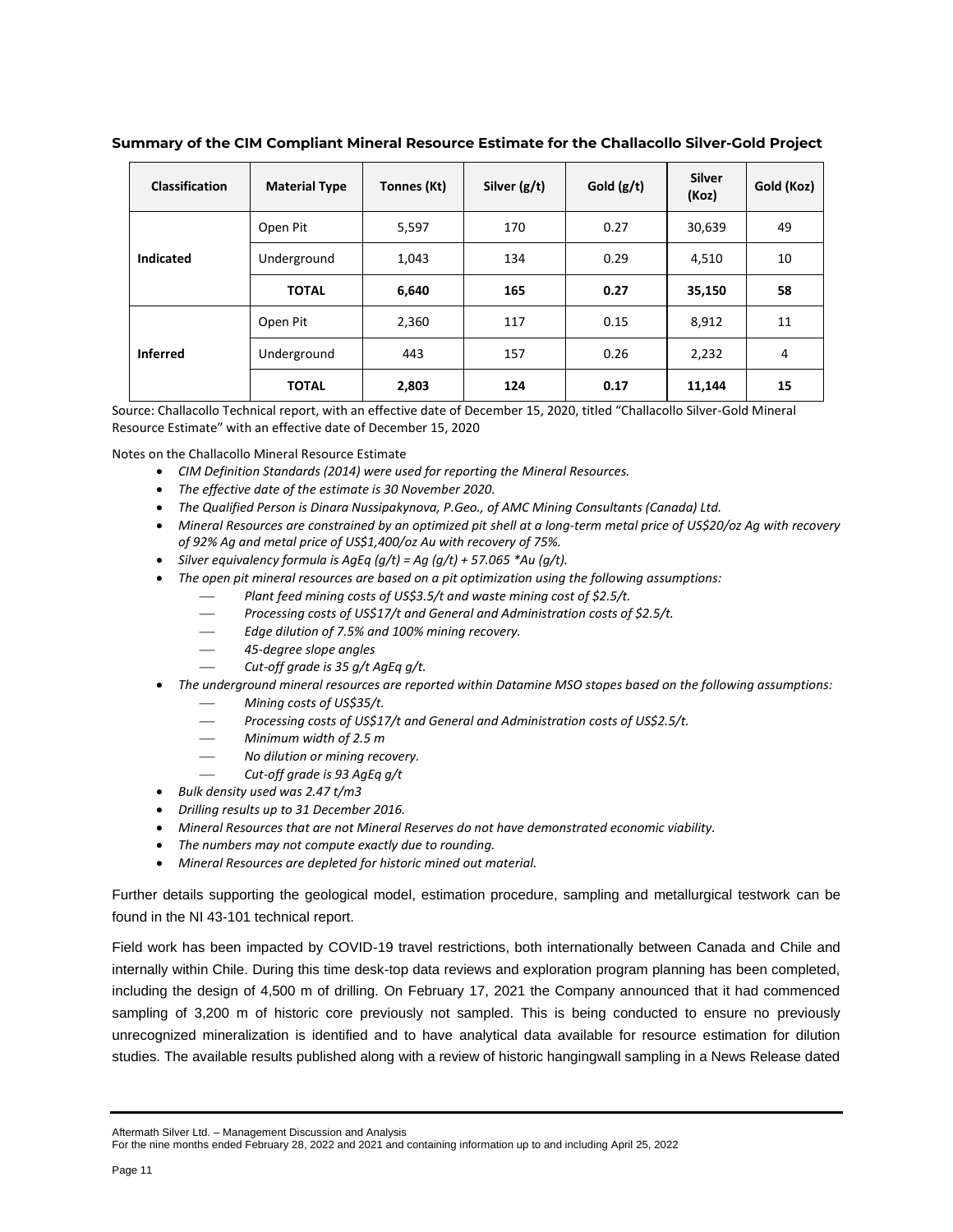| <b>Classification</b> | <b>Material Type</b> | Tonnes (Kt) | Silver $(g/t)$ | Gold $(g/t)$ | <b>Silver</b><br>(Koz) | Gold (Koz) |
|-----------------------|----------------------|-------------|----------------|--------------|------------------------|------------|
|                       | Open Pit             | 5,597       | 170            | 0.27         | 30,639                 | 49         |
| <b>Indicated</b>      | Underground          | 1,043       | 134            | 0.29         | 4,510                  | 10         |
|                       | <b>TOTAL</b>         | 6,640       | 165            | 0.27         | 35,150                 | 58         |
|                       | Open Pit             | 2,360       | 117            | 0.15         | 8,912                  | 11         |
| <b>Inferred</b>       | Underground          | 443         | 157            | 0.26         | 2,232                  | 4          |
|                       | <b>TOTAL</b>         | 2,803       | 124            | 0.17         | 11,144                 | 15         |

## **Summary of the CIM Compliant Mineral Resource Estimate for the Challacollo Silver-Gold Project**

Source: Challacollo Technical report, with an effective date of December 15, 2020, titled "Challacollo Silver-Gold Mineral Resource Estimate" with an effective date of December 15, 2020

Notes on the Challacollo Mineral Resource Estimate

- *CIM Definition Standards (2014) were used for reporting the Mineral Resources.*
- *The effective date of the estimate is 30 November 2020.*
- *The Qualified Person is Dinara Nussipakynova, P.Geo., of AMC Mining Consultants (Canada) Ltd.*
- *Mineral Resources are constrained by an optimized pit shell at a long-term metal price of US\$20/oz Ag with recovery of 92% Ag and metal price of US\$1,400/oz Au with recovery of 75%.*
- *Silver equivalency formula is AgEq (g/t) = Ag (g/t) + 57.065 \*Au (g/t).*
- *The open pit mineral resources are based on a pit optimization using the following assumptions:*
	- Plant feed mining costs of US\$3.5/t and waste mining cost of \$2.5/t.
	- Processing costs of US\$17/t and General and Administration costs of \$2.5/t.
	- ⎯ *Edge dilution of 7.5% and 100% mining recovery.*
	- ⎯ *45-degree slope angles*
	- ⎯ *Cut-off grade is 35 g/t AgEq g/t.*
- *The underground mineral resources are reported within Datamine MSO stopes based on the following assumptions:*
	- ⎯ *Mining costs of US\$35/t.*
	- Processing costs of US\$17/t and General and Administration costs of US\$2.5/t.
	- ⎯ *Minimum width of 2.5 m*
	- ⎯ *No dilution or mining recovery.*
	- ⎯ *Cut-off grade is 93 AgEq g/t*
- *Bulk density used was 2.47 t/m3*
- *Drilling results up to 31 December 2016.*
- *Mineral Resources that are not Mineral Reserves do not have demonstrated economic viability.*
- *The numbers may not compute exactly due to rounding.*
- *Mineral Resources are depleted for historic mined out material.*

Further details supporting the geological model, estimation procedure, sampling and metallurgical testwork can be found in the NI 43-101 technical report.

Field work has been impacted by COVID-19 travel restrictions, both internationally between Canada and Chile and internally within Chile. During this time desk-top data reviews and exploration program planning has been completed, including the design of 4,500 m of drilling. On February 17, 2021 the Company announced that it had commenced sampling of 3,200 m of historic core previously not sampled. This is being conducted to ensure no previously unrecognized mineralization is identified and to have analytical data available for resource estimation for dilution studies. The available results published along with a review of historic hangingwall sampling in a News Release dated

Aftermath Silver Ltd. – Management Discussion and Analysis

For the nine months ended February 28, 2022 and 2021 and containing information up to and including April 25, 2022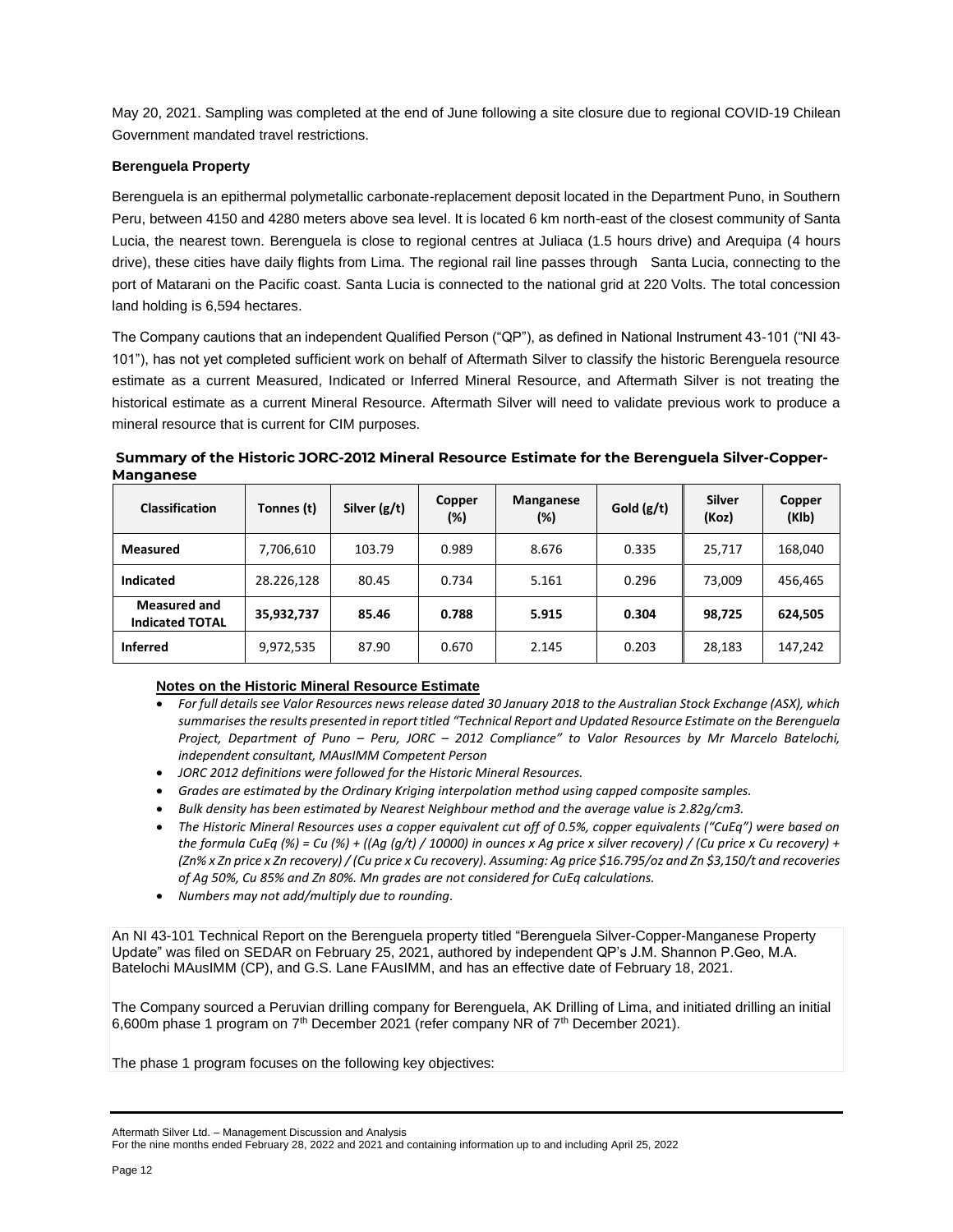May 20, 2021. Sampling was completed at the end of June following a site closure due to regional COVID-19 Chilean Government mandated travel restrictions.

# **Berenguela Property**

Berenguela is an epithermal polymetallic carbonate-replacement deposit located in the Department Puno, in Southern Peru, between 4150 and 4280 meters above sea level. It is located 6 km north-east of the closest community of Santa Lucia, the nearest town. Berenguela is close to regional centres at Juliaca (1.5 hours drive) and Arequipa (4 hours drive), these cities have daily flights from Lima. The regional rail line passes through Santa Lucia, connecting to the port of Matarani on the Pacific coast. Santa Lucia is connected to the national grid at 220 Volts. The total concession land holding is 6,594 hectares.

The Company cautions that an independent Qualified Person ("QP"), as defined in National Instrument 43-101 ("NI 43- 101"), has not yet completed sufficient work on behalf of Aftermath Silver to classify the historic Berenguela resource estimate as a current Measured, Indicated or Inferred Mineral Resource, and Aftermath Silver is not treating the historical estimate as a current Mineral Resource. Aftermath Silver will need to validate previous work to produce a mineral resource that is current for CIM purposes.

**Summary of the Historic JORC-2012 Mineral Resource Estimate for the Berenguela Silver-Copper-Manganese**

| <b>Classification</b>                         | Tonnes (t) | Silver (g/t) | Copper<br>(%) | Manganese<br>(%) | Gold $(g/t)$ | Silver<br>(Koz) | Copper<br>(KIb) |
|-----------------------------------------------|------------|--------------|---------------|------------------|--------------|-----------------|-----------------|
| <b>Measured</b>                               | 7,706,610  | 103.79       | 0.989         | 8.676            | 0.335        | 25,717          | 168,040         |
| <b>Indicated</b>                              | 28.226,128 | 80.45        | 0.734         | 5.161            | 0.296        | 73,009          | 456,465         |
| <b>Measured and</b><br><b>Indicated TOTAL</b> | 35,932,737 | 85.46        | 0.788         | 5.915            | 0.304        | 98,725          | 624,505         |
| <b>Inferred</b>                               | 9,972,535  | 87.90        | 0.670         | 2.145            | 0.203        | 28,183          | 147,242         |

# **Notes on the Historic Mineral Resource Estimate**

- *For full details see Valor Resources news release dated 30 January 2018 to the Australian Stock Exchange (ASX), which summarises the results presented in report titled "Technical Report and Updated Resource Estimate on the Berenguela Project, Department of Puno – Peru, JORC – 2012 Compliance" to Valor Resources by Mr Marcelo Batelochi, independent consultant, MAusIMM Competent Person*
- *JORC 2012 definitions were followed for the Historic Mineral Resources.*
- *Grades are estimated by the Ordinary Kriging interpolation method using capped composite samples.*
- *Bulk density has been estimated by Nearest Neighbour method and the average value is 2.82g/cm3.*
- *The Historic Mineral Resources uses a copper equivalent cut off of 0.5%, copper equivalents ("CuEq") were based on the formula CuEq (%) = Cu (%) + ((Ag (g/t) / 10000) in ounces x Ag price x silver recovery) / (Cu price x Cu recovery) + (Zn% x Zn price x Zn recovery) / (Cu price x Cu recovery). Assuming: Ag price \$16.795/oz and Zn \$3,150/t and recoveries of Ag 50%, Cu 85% and Zn 80%. Mn grades are not considered for CuEq calculations.*
- *Numbers may not add/multiply due to rounding.*

An NI 43-101 Technical Report on the Berenguela property titled "Berenguela Silver-Copper-Manganese Property Update" was filed on SEDAR on February 25, 2021, authored by independent QP's J.M. Shannon P.Geo, M.A. Batelochi MAusIMM (CP), and G.S. Lane FAusIMM, and has an effective date of February 18, 2021.

The Company sourced a Peruvian drilling company for Berenguela, AK Drilling of Lima, and initiated drilling an initial 6,600m phase 1 program on  $7<sup>th</sup>$  December 2021 (refer company NR of  $7<sup>th</sup>$  December 2021).

The phase 1 program focuses on the following key objectives:

Aftermath Silver Ltd. – Management Discussion and Analysis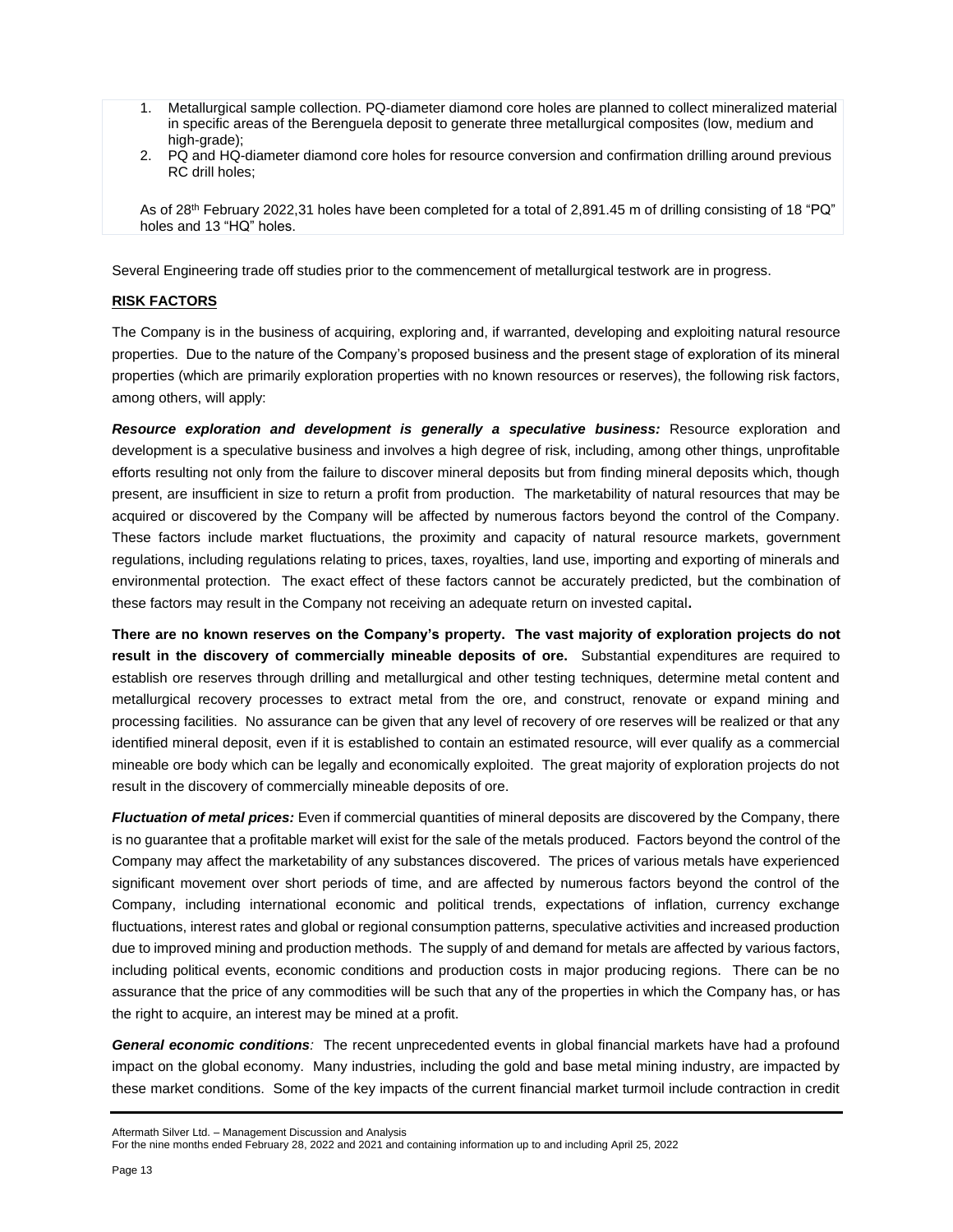- 1. Metallurgical sample collection. PQ-diameter diamond core holes are planned to collect mineralized material in specific areas of the Berenguela deposit to generate three metallurgical composites (low, medium and high-grade);
- 2. PQ and HQ-diameter diamond core holes for resource conversion and confirmation drilling around previous RC drill holes;

As of 28<sup>th</sup> February 2022,31 holes have been completed for a total of 2,891.45 m of drilling consisting of 18 "PQ" holes and 13 "HQ" holes.

Several Engineering trade off studies prior to the commencement of metallurgical testwork are in progress.

#### **RISK FACTORS**

The Company is in the business of acquiring, exploring and, if warranted, developing and exploiting natural resource properties. Due to the nature of the Company's proposed business and the present stage of exploration of its mineral properties (which are primarily exploration properties with no known resources or reserves), the following risk factors, among others, will apply:

*Resource exploration and development is generally a speculative business:* Resource exploration and development is a speculative business and involves a high degree of risk, including, among other things, unprofitable efforts resulting not only from the failure to discover mineral deposits but from finding mineral deposits which, though present, are insufficient in size to return a profit from production. The marketability of natural resources that may be acquired or discovered by the Company will be affected by numerous factors beyond the control of the Company. These factors include market fluctuations, the proximity and capacity of natural resource markets, government regulations, including regulations relating to prices, taxes, royalties, land use, importing and exporting of minerals and environmental protection. The exact effect of these factors cannot be accurately predicted, but the combination of these factors may result in the Company not receiving an adequate return on invested capital**.** 

**There are no known reserves on the Company's property. The vast majority of exploration projects do not result in the discovery of commercially mineable deposits of ore.** Substantial expenditures are required to establish ore reserves through drilling and metallurgical and other testing techniques, determine metal content and metallurgical recovery processes to extract metal from the ore, and construct, renovate or expand mining and processing facilities. No assurance can be given that any level of recovery of ore reserves will be realized or that any identified mineral deposit, even if it is established to contain an estimated resource, will ever qualify as a commercial mineable ore body which can be legally and economically exploited. The great majority of exploration projects do not result in the discovery of commercially mineable deposits of ore.

*Fluctuation of metal prices:* Even if commercial quantities of mineral deposits are discovered by the Company, there is no guarantee that a profitable market will exist for the sale of the metals produced. Factors beyond the control of the Company may affect the marketability of any substances discovered. The prices of various metals have experienced significant movement over short periods of time, and are affected by numerous factors beyond the control of the Company, including international economic and political trends, expectations of inflation, currency exchange fluctuations, interest rates and global or regional consumption patterns, speculative activities and increased production due to improved mining and production methods. The supply of and demand for metals are affected by various factors, including political events, economic conditions and production costs in major producing regions. There can be no assurance that the price of any commodities will be such that any of the properties in which the Company has, or has the right to acquire, an interest may be mined at a profit.

*General economic conditions:* The recent unprecedented events in global financial markets have had a profound impact on the global economy. Many industries, including the gold and base metal mining industry, are impacted by these market conditions. Some of the key impacts of the current financial market turmoil include contraction in credit

Aftermath Silver Ltd. – Management Discussion and Analysis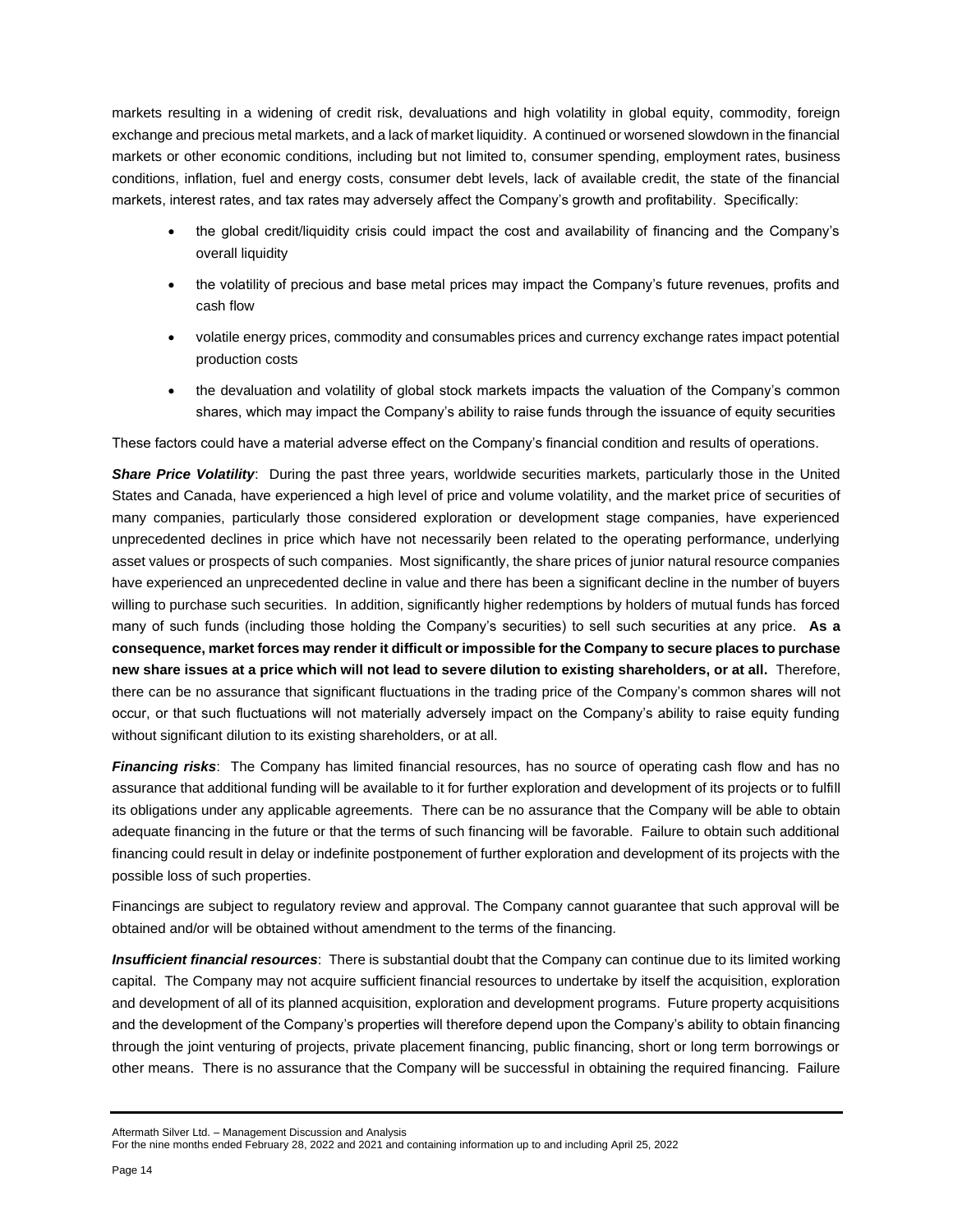markets resulting in a widening of credit risk, devaluations and high volatility in global equity, commodity, foreign exchange and precious metal markets, and a lack of market liquidity. A continued or worsened slowdown in the financial markets or other economic conditions, including but not limited to, consumer spending, employment rates, business conditions, inflation, fuel and energy costs, consumer debt levels, lack of available credit, the state of the financial markets, interest rates, and tax rates may adversely affect the Company's growth and profitability. Specifically:

- the global credit/liquidity crisis could impact the cost and availability of financing and the Company's overall liquidity
- the volatility of precious and base metal prices may impact the Company's future revenues, profits and cash flow
- volatile energy prices, commodity and consumables prices and currency exchange rates impact potential production costs
- the devaluation and volatility of global stock markets impacts the valuation of the Company's common shares, which may impact the Company's ability to raise funds through the issuance of equity securities

These factors could have a material adverse effect on the Company's financial condition and results of operations.

*Share Price Volatility*: During the past three years, worldwide securities markets, particularly those in the United States and Canada, have experienced a high level of price and volume volatility, and the market price of securities of many companies, particularly those considered exploration or development stage companies, have experienced unprecedented declines in price which have not necessarily been related to the operating performance, underlying asset values or prospects of such companies. Most significantly, the share prices of junior natural resource companies have experienced an unprecedented decline in value and there has been a significant decline in the number of buyers willing to purchase such securities. In addition, significantly higher redemptions by holders of mutual funds has forced many of such funds (including those holding the Company's securities) to sell such securities at any price. **As a consequence, market forces may render it difficult or impossible for the Company to secure places to purchase new share issues at a price which will not lead to severe dilution to existing shareholders, or at all.** Therefore, there can be no assurance that significant fluctuations in the trading price of the Company's common shares will not occur, or that such fluctuations will not materially adversely impact on the Company's ability to raise equity funding without significant dilution to its existing shareholders, or at all.

*Financing risks*: The Company has limited financial resources, has no source of operating cash flow and has no assurance that additional funding will be available to it for further exploration and development of its projects or to fulfill its obligations under any applicable agreements. There can be no assurance that the Company will be able to obtain adequate financing in the future or that the terms of such financing will be favorable. Failure to obtain such additional financing could result in delay or indefinite postponement of further exploration and development of its projects with the possible loss of such properties.

Financings are subject to regulatory review and approval. The Company cannot guarantee that such approval will be obtained and/or will be obtained without amendment to the terms of the financing.

*Insufficient financial resources*: There is substantial doubt that the Company can continue due to its limited working capital. The Company may not acquire sufficient financial resources to undertake by itself the acquisition, exploration and development of all of its planned acquisition, exploration and development programs. Future property acquisitions and the development of the Company's properties will therefore depend upon the Company's ability to obtain financing through the joint venturing of projects, private placement financing, public financing, short or long term borrowings or other means. There is no assurance that the Company will be successful in obtaining the required financing. Failure

For the nine months ended February 28, 2022 and 2021 and containing information up to and including April 25, 2022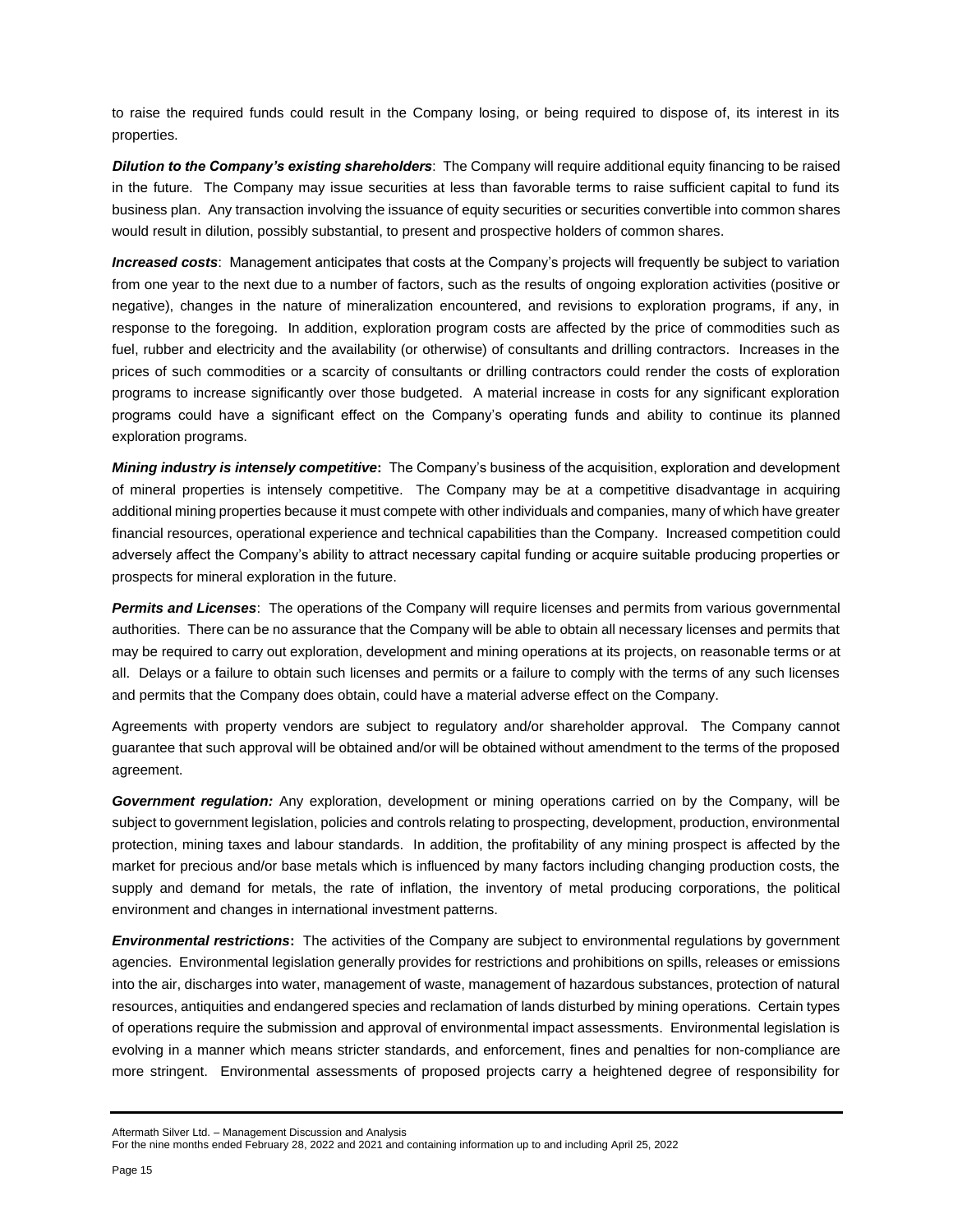to raise the required funds could result in the Company losing, or being required to dispose of, its interest in its properties.

*Dilution to the Company's existing shareholders*: The Company will require additional equity financing to be raised in the future. The Company may issue securities at less than favorable terms to raise sufficient capital to fund its business plan. Any transaction involving the issuance of equity securities or securities convertible into common shares would result in dilution, possibly substantial, to present and prospective holders of common shares.

*Increased costs*: Management anticipates that costs at the Company's projects will frequently be subject to variation from one year to the next due to a number of factors, such as the results of ongoing exploration activities (positive or negative), changes in the nature of mineralization encountered, and revisions to exploration programs, if any, in response to the foregoing. In addition, exploration program costs are affected by the price of commodities such as fuel, rubber and electricity and the availability (or otherwise) of consultants and drilling contractors. Increases in the prices of such commodities or a scarcity of consultants or drilling contractors could render the costs of exploration programs to increase significantly over those budgeted. A material increase in costs for any significant exploration programs could have a significant effect on the Company's operating funds and ability to continue its planned exploration programs.

*Mining industry is intensely competitive***:** The Company's business of the acquisition, exploration and development of mineral properties is intensely competitive. The Company may be at a competitive disadvantage in acquiring additional mining properties because it must compete with other individuals and companies, many of which have greater financial resources, operational experience and technical capabilities than the Company. Increased competition could adversely affect the Company's ability to attract necessary capital funding or acquire suitable producing properties or prospects for mineral exploration in the future.

*Permits and Licenses*: The operations of the Company will require licenses and permits from various governmental authorities. There can be no assurance that the Company will be able to obtain all necessary licenses and permits that may be required to carry out exploration, development and mining operations at its projects, on reasonable terms or at all. Delays or a failure to obtain such licenses and permits or a failure to comply with the terms of any such licenses and permits that the Company does obtain, could have a material adverse effect on the Company.

Agreements with property vendors are subject to regulatory and/or shareholder approval. The Company cannot guarantee that such approval will be obtained and/or will be obtained without amendment to the terms of the proposed agreement.

*Government regulation:* Any exploration, development or mining operations carried on by the Company, will be subject to government legislation, policies and controls relating to prospecting, development, production, environmental protection, mining taxes and labour standards. In addition, the profitability of any mining prospect is affected by the market for precious and/or base metals which is influenced by many factors including changing production costs, the supply and demand for metals, the rate of inflation, the inventory of metal producing corporations, the political environment and changes in international investment patterns.

*Environmental restrictions***:** The activities of the Company are subject to environmental regulations by government agencies. Environmental legislation generally provides for restrictions and prohibitions on spills, releases or emissions into the air, discharges into water, management of waste, management of hazardous substances, protection of natural resources, antiquities and endangered species and reclamation of lands disturbed by mining operations. Certain types of operations require the submission and approval of environmental impact assessments. Environmental legislation is evolving in a manner which means stricter standards, and enforcement, fines and penalties for non-compliance are more stringent. Environmental assessments of proposed projects carry a heightened degree of responsibility for

For the nine months ended February 28, 2022 and 2021 and containing information up to and including April 25, 2022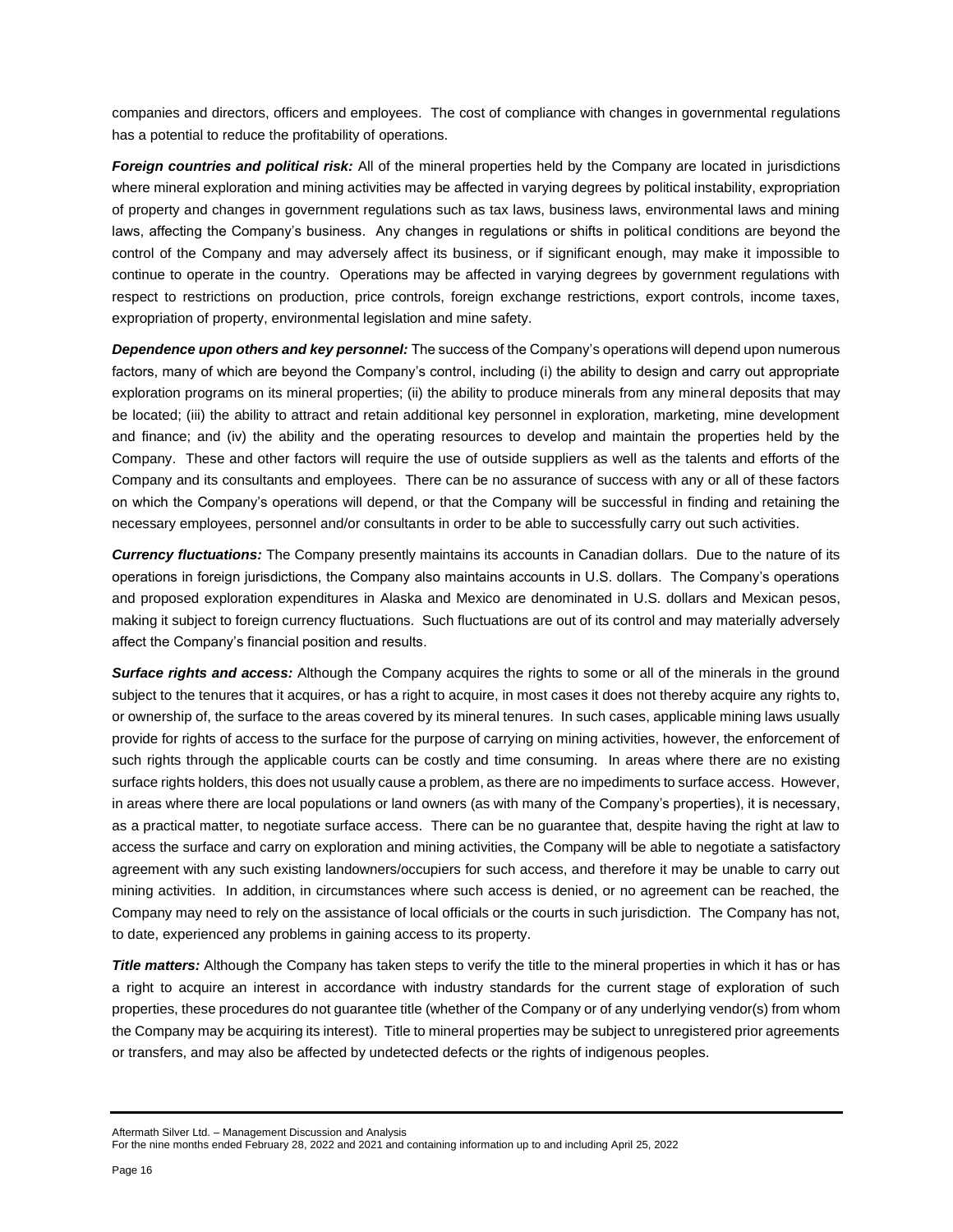companies and directors, officers and employees. The cost of compliance with changes in governmental regulations has a potential to reduce the profitability of operations.

*Foreign countries and political risk:* All of the mineral properties held by the Company are located in jurisdictions where mineral exploration and mining activities may be affected in varying degrees by political instability, expropriation of property and changes in government regulations such as tax laws, business laws, environmental laws and mining laws, affecting the Company's business. Any changes in regulations or shifts in political conditions are beyond the control of the Company and may adversely affect its business, or if significant enough, may make it impossible to continue to operate in the country. Operations may be affected in varying degrees by government regulations with respect to restrictions on production, price controls, foreign exchange restrictions, export controls, income taxes, expropriation of property, environmental legislation and mine safety.

*Dependence upon others and key personnel:* The success of the Company's operations will depend upon numerous factors, many of which are beyond the Company's control, including (i) the ability to design and carry out appropriate exploration programs on its mineral properties; (ii) the ability to produce minerals from any mineral deposits that may be located; (iii) the ability to attract and retain additional key personnel in exploration, marketing, mine development and finance; and (iv) the ability and the operating resources to develop and maintain the properties held by the Company. These and other factors will require the use of outside suppliers as well as the talents and efforts of the Company and its consultants and employees. There can be no assurance of success with any or all of these factors on which the Company's operations will depend, or that the Company will be successful in finding and retaining the necessary employees, personnel and/or consultants in order to be able to successfully carry out such activities.

*Currency fluctuations:* The Company presently maintains its accounts in Canadian dollars. Due to the nature of its operations in foreign jurisdictions, the Company also maintains accounts in U.S. dollars. The Company's operations and proposed exploration expenditures in Alaska and Mexico are denominated in U.S. dollars and Mexican pesos, making it subject to foreign currency fluctuations. Such fluctuations are out of its control and may materially adversely affect the Company's financial position and results.

*Surface rights and access:* Although the Company acquires the rights to some or all of the minerals in the ground subject to the tenures that it acquires, or has a right to acquire, in most cases it does not thereby acquire any rights to, or ownership of, the surface to the areas covered by its mineral tenures. In such cases, applicable mining laws usually provide for rights of access to the surface for the purpose of carrying on mining activities, however, the enforcement of such rights through the applicable courts can be costly and time consuming. In areas where there are no existing surface rights holders, this does not usually cause a problem, as there are no impediments to surface access. However, in areas where there are local populations or land owners (as with many of the Company's properties), it is necessary, as a practical matter, to negotiate surface access. There can be no guarantee that, despite having the right at law to access the surface and carry on exploration and mining activities, the Company will be able to negotiate a satisfactory agreement with any such existing landowners/occupiers for such access, and therefore it may be unable to carry out mining activities. In addition, in circumstances where such access is denied, or no agreement can be reached, the Company may need to rely on the assistance of local officials or the courts in such jurisdiction. The Company has not, to date, experienced any problems in gaining access to its property.

*Title matters:* Although the Company has taken steps to verify the title to the mineral properties in which it has or has a right to acquire an interest in accordance with industry standards for the current stage of exploration of such properties, these procedures do not guarantee title (whether of the Company or of any underlying vendor(s) from whom the Company may be acquiring its interest). Title to mineral properties may be subject to unregistered prior agreements or transfers, and may also be affected by undetected defects or the rights of indigenous peoples.

For the nine months ended February 28, 2022 and 2021 and containing information up to and including April 25, 2022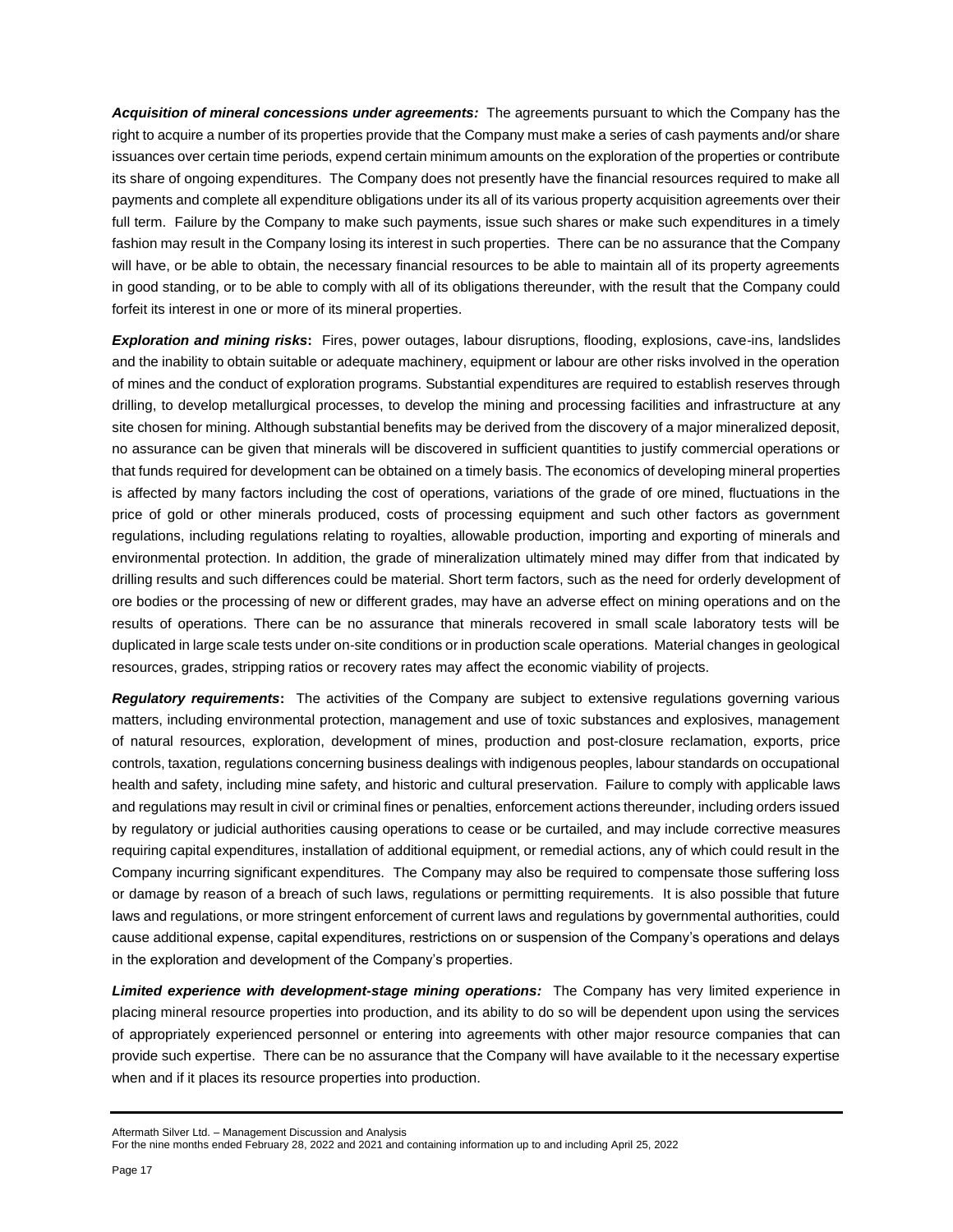*Acquisition of mineral concessions under agreements:* The agreements pursuant to which the Company has the right to acquire a number of its properties provide that the Company must make a series of cash payments and/or share issuances over certain time periods, expend certain minimum amounts on the exploration of the properties or contribute its share of ongoing expenditures. The Company does not presently have the financial resources required to make all payments and complete all expenditure obligations under its all of its various property acquisition agreements over their full term. Failure by the Company to make such payments, issue such shares or make such expenditures in a timely fashion may result in the Company losing its interest in such properties. There can be no assurance that the Company will have, or be able to obtain, the necessary financial resources to be able to maintain all of its property agreements in good standing, or to be able to comply with all of its obligations thereunder, with the result that the Company could forfeit its interest in one or more of its mineral properties.

*Exploration and mining risks***:** Fires, power outages, labour disruptions, flooding, explosions, cave-ins, landslides and the inability to obtain suitable or adequate machinery, equipment or labour are other risks involved in the operation of mines and the conduct of exploration programs. Substantial expenditures are required to establish reserves through drilling, to develop metallurgical processes, to develop the mining and processing facilities and infrastructure at any site chosen for mining. Although substantial benefits may be derived from the discovery of a major mineralized deposit, no assurance can be given that minerals will be discovered in sufficient quantities to justify commercial operations or that funds required for development can be obtained on a timely basis. The economics of developing mineral properties is affected by many factors including the cost of operations, variations of the grade of ore mined, fluctuations in the price of gold or other minerals produced, costs of processing equipment and such other factors as government regulations, including regulations relating to royalties, allowable production, importing and exporting of minerals and environmental protection. In addition, the grade of mineralization ultimately mined may differ from that indicated by drilling results and such differences could be material. Short term factors, such as the need for orderly development of ore bodies or the processing of new or different grades, may have an adverse effect on mining operations and on the results of operations. There can be no assurance that minerals recovered in small scale laboratory tests will be duplicated in large scale tests under on-site conditions or in production scale operations. Material changes in geological resources, grades, stripping ratios or recovery rates may affect the economic viability of projects.

*Regulatory requirements***:** The activities of the Company are subject to extensive regulations governing various matters, including environmental protection, management and use of toxic substances and explosives, management of natural resources, exploration, development of mines, production and post-closure reclamation, exports, price controls, taxation, regulations concerning business dealings with indigenous peoples, labour standards on occupational health and safety, including mine safety, and historic and cultural preservation. Failure to comply with applicable laws and regulations may result in civil or criminal fines or penalties, enforcement actions thereunder, including orders issued by regulatory or judicial authorities causing operations to cease or be curtailed, and may include corrective measures requiring capital expenditures, installation of additional equipment, or remedial actions, any of which could result in the Company incurring significant expenditures. The Company may also be required to compensate those suffering loss or damage by reason of a breach of such laws, regulations or permitting requirements. It is also possible that future laws and regulations, or more stringent enforcement of current laws and regulations by governmental authorities, could cause additional expense, capital expenditures, restrictions on or suspension of the Company's operations and delays in the exploration and development of the Company's properties.

*Limited experience with development-stage mining operations:* The Company has very limited experience in placing mineral resource properties into production, and its ability to do so will be dependent upon using the services of appropriately experienced personnel or entering into agreements with other major resource companies that can provide such expertise. There can be no assurance that the Company will have available to it the necessary expertise when and if it places its resource properties into production.

For the nine months ended February 28, 2022 and 2021 and containing information up to and including April 25, 2022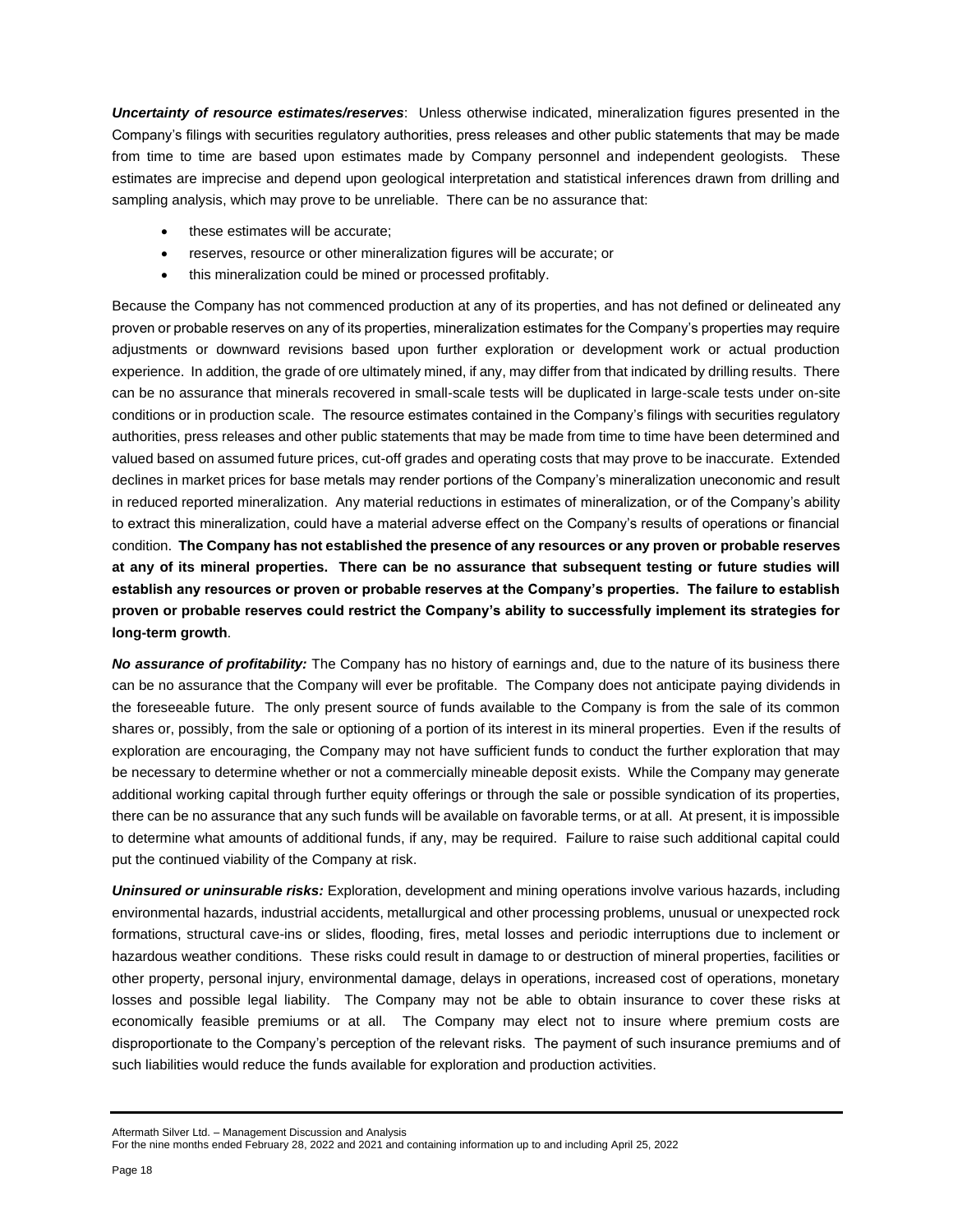*Uncertainty of resource estimates/reserves*: Unless otherwise indicated, mineralization figures presented in the Company's filings with securities regulatory authorities, press releases and other public statements that may be made from time to time are based upon estimates made by Company personnel and independent geologists. These estimates are imprecise and depend upon geological interpretation and statistical inferences drawn from drilling and sampling analysis, which may prove to be unreliable. There can be no assurance that:

- these estimates will be accurate;
- reserves, resource or other mineralization figures will be accurate; or
- this mineralization could be mined or processed profitably.

Because the Company has not commenced production at any of its properties, and has not defined or delineated any proven or probable reserves on any of its properties, mineralization estimates for the Company's properties may require adjustments or downward revisions based upon further exploration or development work or actual production experience. In addition, the grade of ore ultimately mined, if any, may differ from that indicated by drilling results. There can be no assurance that minerals recovered in small-scale tests will be duplicated in large-scale tests under on-site conditions or in production scale. The resource estimates contained in the Company's filings with securities regulatory authorities, press releases and other public statements that may be made from time to time have been determined and valued based on assumed future prices, cut-off grades and operating costs that may prove to be inaccurate. Extended declines in market prices for base metals may render portions of the Company's mineralization uneconomic and result in reduced reported mineralization. Any material reductions in estimates of mineralization, or of the Company's ability to extract this mineralization, could have a material adverse effect on the Company's results of operations or financial condition. **The Company has not established the presence of any resources or any proven or probable reserves at any of its mineral properties. There can be no assurance that subsequent testing or future studies will establish any resources or proven or probable reserves at the Company's properties. The failure to establish proven or probable reserves could restrict the Company's ability to successfully implement its strategies for long-term growth**.

*No assurance of profitability:* The Company has no history of earnings and, due to the nature of its business there can be no assurance that the Company will ever be profitable. The Company does not anticipate paying dividends in the foreseeable future. The only present source of funds available to the Company is from the sale of its common shares or, possibly, from the sale or optioning of a portion of its interest in its mineral properties. Even if the results of exploration are encouraging, the Company may not have sufficient funds to conduct the further exploration that may be necessary to determine whether or not a commercially mineable deposit exists. While the Company may generate additional working capital through further equity offerings or through the sale or possible syndication of its properties, there can be no assurance that any such funds will be available on favorable terms, or at all. At present, it is impossible to determine what amounts of additional funds, if any, may be required. Failure to raise such additional capital could put the continued viability of the Company at risk.

*Uninsured or uninsurable risks:* Exploration, development and mining operations involve various hazards, including environmental hazards, industrial accidents, metallurgical and other processing problems, unusual or unexpected rock formations, structural cave-ins or slides, flooding, fires, metal losses and periodic interruptions due to inclement or hazardous weather conditions. These risks could result in damage to or destruction of mineral properties, facilities or other property, personal injury, environmental damage, delays in operations, increased cost of operations, monetary losses and possible legal liability. The Company may not be able to obtain insurance to cover these risks at economically feasible premiums or at all. The Company may elect not to insure where premium costs are disproportionate to the Company's perception of the relevant risks. The payment of such insurance premiums and of such liabilities would reduce the funds available for exploration and production activities.

Aftermath Silver Ltd. – Management Discussion and Analysis

For the nine months ended February 28, 2022 and 2021 and containing information up to and including April 25, 2022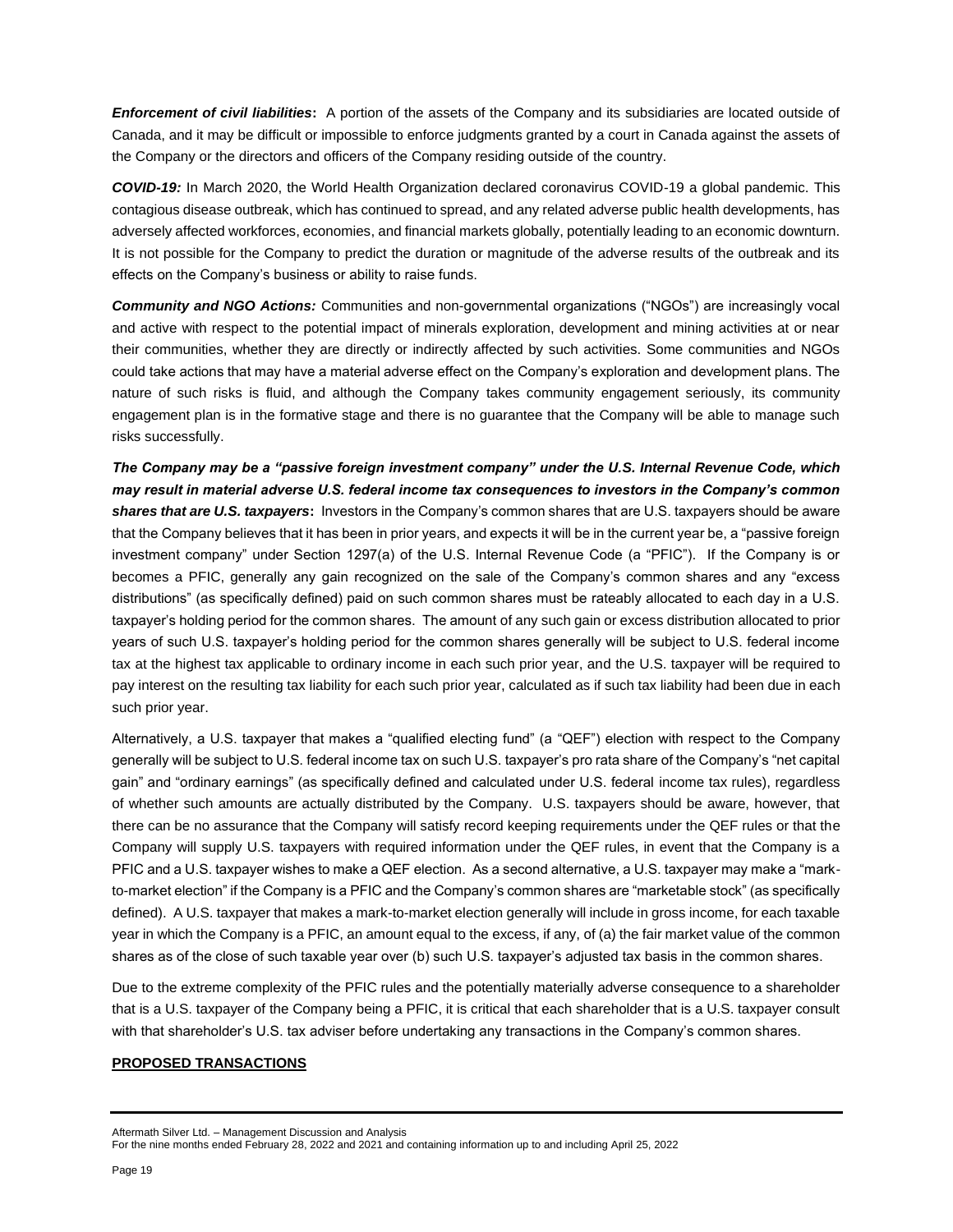*Enforcement of civil liabilities***:** A portion of the assets of the Company and its subsidiaries are located outside of Canada, and it may be difficult or impossible to enforce judgments granted by a court in Canada against the assets of the Company or the directors and officers of the Company residing outside of the country.

*COVID-19:* In March 2020, the World Health Organization declared coronavirus COVID-19 a global pandemic. This contagious disease outbreak, which has continued to spread, and any related adverse public health developments, has adversely affected workforces, economies, and financial markets globally, potentially leading to an economic downturn. It is not possible for the Company to predict the duration or magnitude of the adverse results of the outbreak and its effects on the Company's business or ability to raise funds.

*Community and NGO Actions:* Communities and non-governmental organizations ("NGOs") are increasingly vocal and active with respect to the potential impact of minerals exploration, development and mining activities at or near their communities, whether they are directly or indirectly affected by such activities. Some communities and NGOs could take actions that may have a material adverse effect on the Company's exploration and development plans. The nature of such risks is fluid, and although the Company takes community engagement seriously, its community engagement plan is in the formative stage and there is no guarantee that the Company will be able to manage such risks successfully.

*The Company may be a "passive foreign investment company" under the U.S. Internal Revenue Code, which may result in material adverse U.S. federal income tax consequences to investors in the Company's common shares that are U.S. taxpayers***:** Investors in the Company's common shares that are U.S. taxpayers should be aware that the Company believes that it has been in prior years, and expects it will be in the current year be, a "passive foreign investment company" under Section 1297(a) of the U.S. Internal Revenue Code (a "PFIC"). If the Company is or becomes a PFIC, generally any gain recognized on the sale of the Company's common shares and any "excess distributions" (as specifically defined) paid on such common shares must be rateably allocated to each day in a U.S. taxpayer's holding period for the common shares. The amount of any such gain or excess distribution allocated to prior years of such U.S. taxpayer's holding period for the common shares generally will be subject to U.S. federal income tax at the highest tax applicable to ordinary income in each such prior year, and the U.S. taxpayer will be required to pay interest on the resulting tax liability for each such prior year, calculated as if such tax liability had been due in each such prior year.

Alternatively, a U.S. taxpayer that makes a "qualified electing fund" (a "QEF") election with respect to the Company generally will be subject to U.S. federal income tax on such U.S. taxpayer's pro rata share of the Company's "net capital gain" and "ordinary earnings" (as specifically defined and calculated under U.S. federal income tax rules), regardless of whether such amounts are actually distributed by the Company. U.S. taxpayers should be aware, however, that there can be no assurance that the Company will satisfy record keeping requirements under the QEF rules or that the Company will supply U.S. taxpayers with required information under the QEF rules, in event that the Company is a PFIC and a U.S. taxpayer wishes to make a QEF election. As a second alternative, a U.S. taxpayer may make a "markto-market election" if the Company is a PFIC and the Company's common shares are "marketable stock" (as specifically defined). A U.S. taxpayer that makes a mark-to-market election generally will include in gross income, for each taxable year in which the Company is a PFIC, an amount equal to the excess, if any, of (a) the fair market value of the common shares as of the close of such taxable year over (b) such U.S. taxpayer's adjusted tax basis in the common shares.

Due to the extreme complexity of the PFIC rules and the potentially materially adverse consequence to a shareholder that is a U.S. taxpayer of the Company being a PFIC, it is critical that each shareholder that is a U.S. taxpayer consult with that shareholder's U.S. tax adviser before undertaking any transactions in the Company's common shares.

## **PROPOSED TRANSACTIONS**

Aftermath Silver Ltd. – Management Discussion and Analysis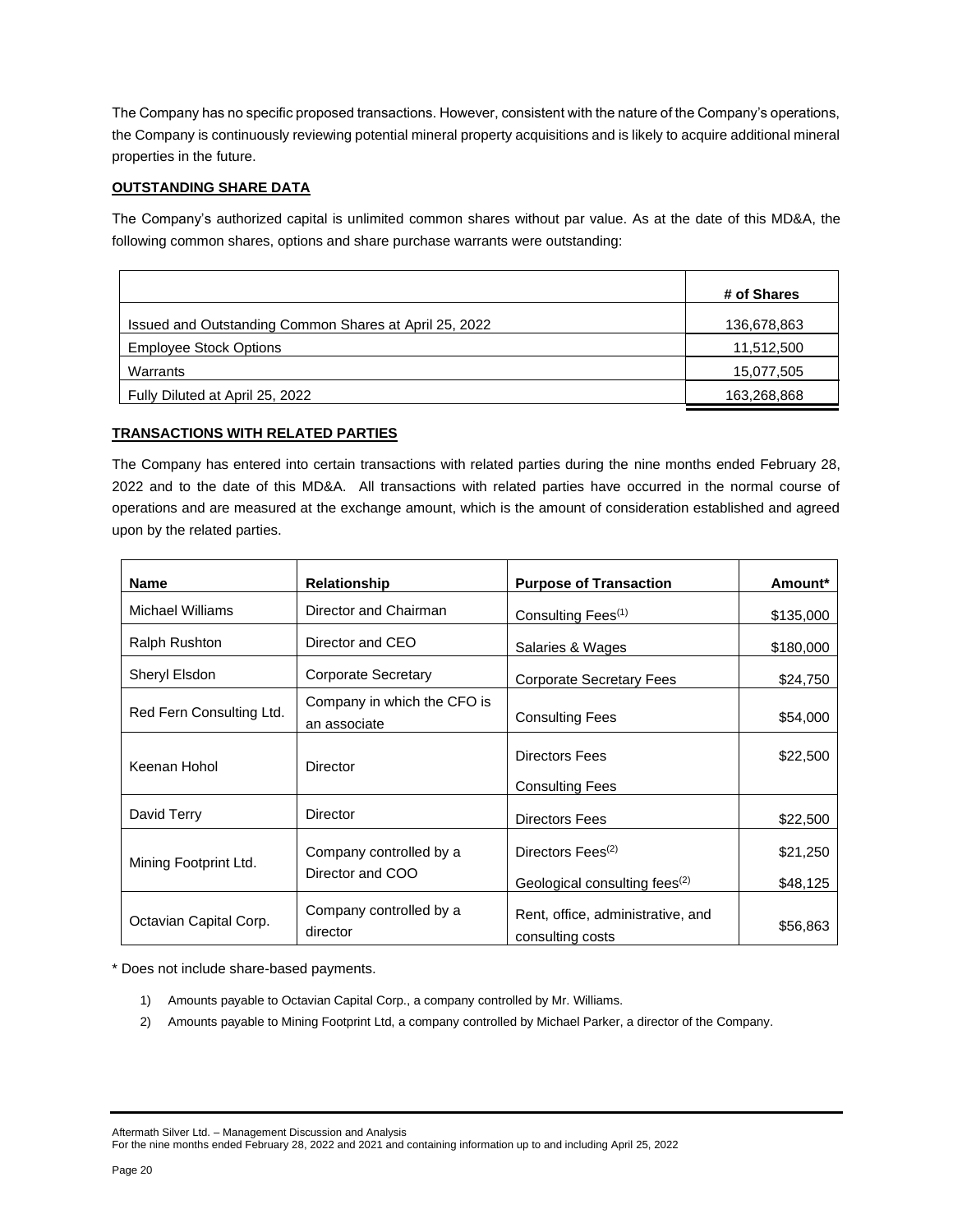The Company has no specific proposed transactions. However, consistent with the nature of the Company's operations, the Company is continuously reviewing potential mineral property acquisitions and is likely to acquire additional mineral properties in the future.

# **OUTSTANDING SHARE DATA**

The Company's authorized capital is unlimited common shares without par value. As at the date of this MD&A, the following common shares, options and share purchase warrants were outstanding:

|                                                        | # of Shares |
|--------------------------------------------------------|-------------|
| Issued and Outstanding Common Shares at April 25, 2022 | 136,678,863 |
| <b>Employee Stock Options</b>                          | 11,512,500  |
| Warrants                                               | 15,077,505  |
| Fully Diluted at April 25, 2022                        | 163,268,868 |

# **TRANSACTIONS WITH RELATED PARTIES**

The Company has entered into certain transactions with related parties during the nine months ended February 28, 2022 and to the date of this MD&A. All transactions with related parties have occurred in the normal course of operations and are measured at the exchange amount, which is the amount of consideration established and agreed upon by the related parties.

| <b>Name</b>              | Relationship                                | <b>Purpose of Transaction</b>                         | Amount*   |
|--------------------------|---------------------------------------------|-------------------------------------------------------|-----------|
| <b>Michael Williams</b>  | Director and Chairman                       | Consulting Fees <sup>(1)</sup>                        | \$135,000 |
| <b>Ralph Rushton</b>     | Director and CEO                            | Salaries & Wages                                      | \$180,000 |
| Sheryl Elsdon            | Corporate Secretary                         | <b>Corporate Secretary Fees</b>                       | \$24,750  |
| Red Fern Consulting Ltd. | Company in which the CFO is<br>an associate | <b>Consulting Fees</b>                                | \$54,000  |
| Keenan Hohol             | <b>Director</b>                             | <b>Directors Fees</b>                                 | \$22,500  |
|                          |                                             | <b>Consulting Fees</b>                                |           |
| David Terry              | <b>Director</b>                             | <b>Directors Fees</b>                                 | \$22,500  |
| Mining Footprint Ltd.    | Company controlled by a                     | Directors Fees <sup>(2)</sup>                         | \$21,250  |
|                          | Director and COO                            | Geological consulting fees <sup>(2)</sup>             | \$48,125  |
| Octavian Capital Corp.   | Company controlled by a<br>director         | Rent, office, administrative, and<br>consulting costs | \$56,863  |

\* Does not include share-based payments.

- 1) Amounts payable to Octavian Capital Corp., a company controlled by Mr. Williams.
- 2) Amounts payable to Mining Footprint Ltd, a company controlled by Michael Parker, a director of the Company.

Aftermath Silver Ltd. – Management Discussion and Analysis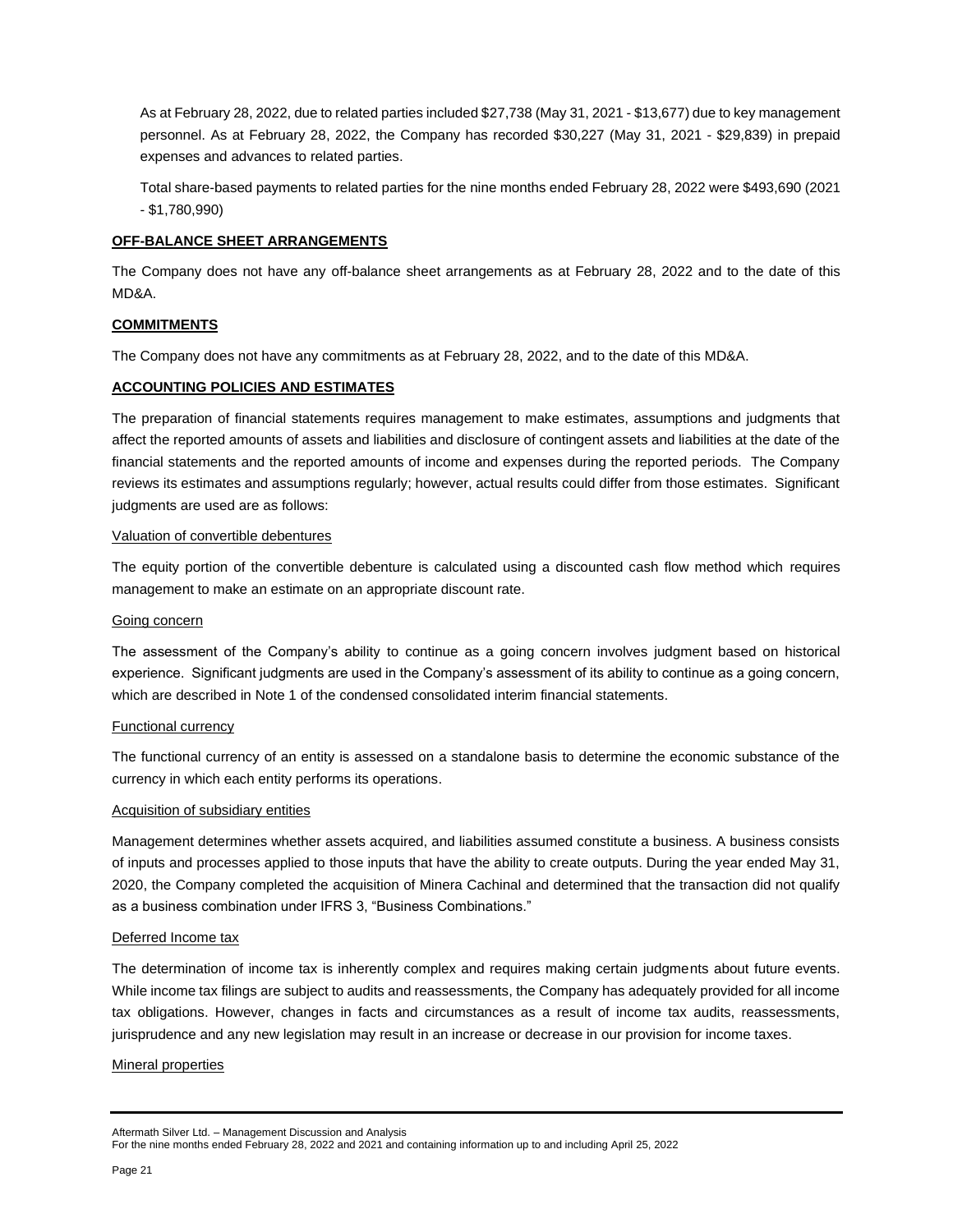As at February 28, 2022, due to related parties included \$27,738 (May 31, 2021 - \$13,677) due to key management personnel. As at February 28, 2022, the Company has recorded \$30,227 (May 31, 2021 - \$29,839) in prepaid expenses and advances to related parties.

Total share-based payments to related parties for the nine months ended February 28, 2022 were \$493,690 (2021 - \$1,780,990)

## **OFF-BALANCE SHEET ARRANGEMENTS**

The Company does not have any off-balance sheet arrangements as at February 28, 2022 and to the date of this MD&A.

## **COMMITMENTS**

The Company does not have any commitments as at February 28, 2022, and to the date of this MD&A.

## **ACCOUNTING POLICIES AND ESTIMATES**

The preparation of financial statements requires management to make estimates, assumptions and judgments that affect the reported amounts of assets and liabilities and disclosure of contingent assets and liabilities at the date of the financial statements and the reported amounts of income and expenses during the reported periods. The Company reviews its estimates and assumptions regularly; however, actual results could differ from those estimates. Significant judgments are used are as follows:

## Valuation of convertible debentures

The equity portion of the convertible debenture is calculated using a discounted cash flow method which requires management to make an estimate on an appropriate discount rate.

## Going concern

The assessment of the Company's ability to continue as a going concern involves judgment based on historical experience. Significant judgments are used in the Company's assessment of its ability to continue as a going concern, which are described in Note 1 of the condensed consolidated interim financial statements.

## Functional currency

The functional currency of an entity is assessed on a standalone basis to determine the economic substance of the currency in which each entity performs its operations.

## Acquisition of subsidiary entities

Management determines whether assets acquired, and liabilities assumed constitute a business. A business consists of inputs and processes applied to those inputs that have the ability to create outputs. During the year ended May 31, 2020, the Company completed the acquisition of Minera Cachinal and determined that the transaction did not qualify as a business combination under IFRS 3, "Business Combinations."

## Deferred Income tax

The determination of income tax is inherently complex and requires making certain judgments about future events. While income tax filings are subject to audits and reassessments, the Company has adequately provided for all income tax obligations. However, changes in facts and circumstances as a result of income tax audits, reassessments, jurisprudence and any new legislation may result in an increase or decrease in our provision for income taxes.

## Mineral properties

Aftermath Silver Ltd. – Management Discussion and Analysis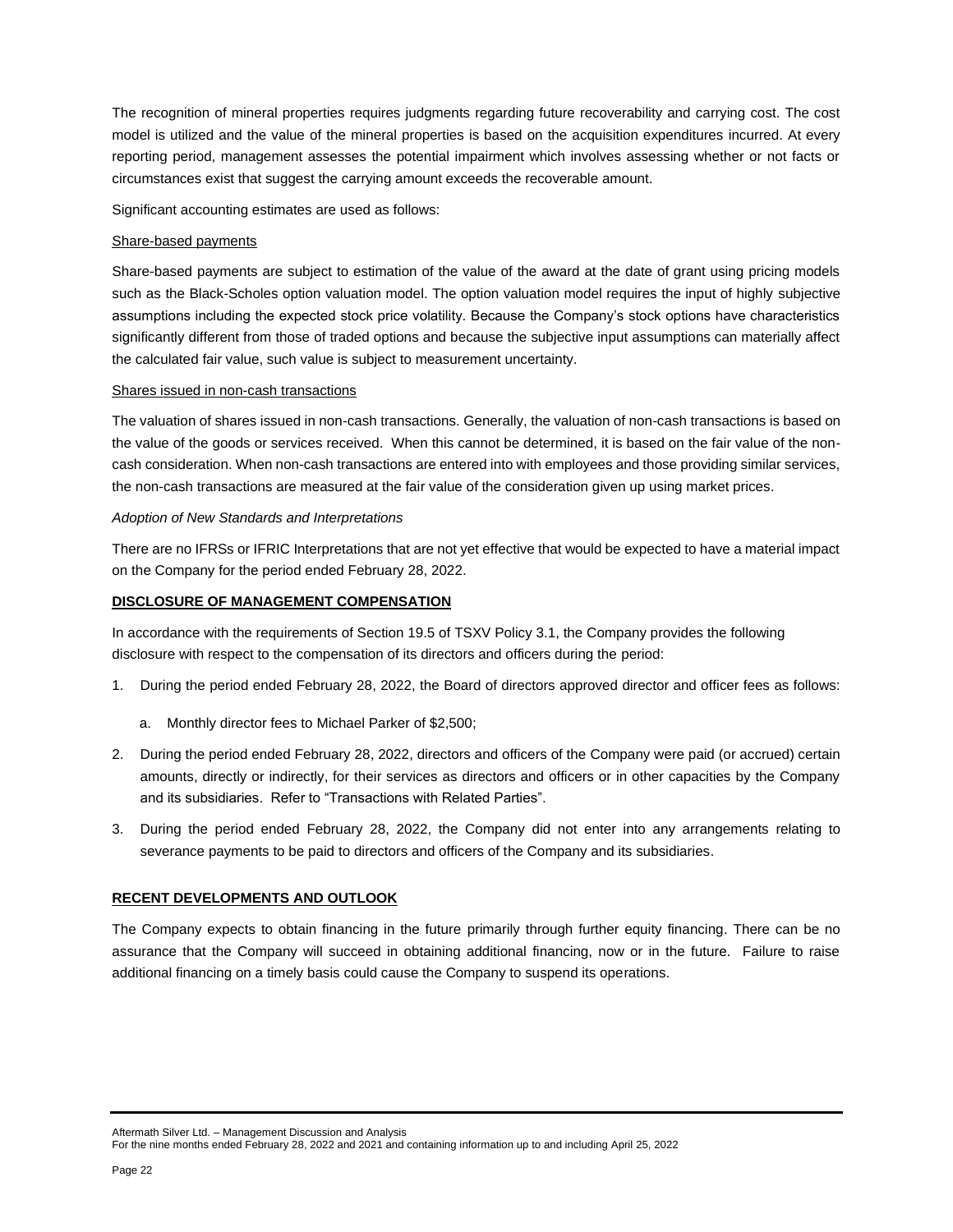The recognition of mineral properties requires judgments regarding future recoverability and carrying cost. The cost model is utilized and the value of the mineral properties is based on the acquisition expenditures incurred. At every reporting period, management assesses the potential impairment which involves assessing whether or not facts or circumstances exist that suggest the carrying amount exceeds the recoverable amount.

Significant accounting estimates are used as follows:

#### Share-based payments

Share-based payments are subject to estimation of the value of the award at the date of grant using pricing models such as the Black-Scholes option valuation model. The option valuation model requires the input of highly subjective assumptions including the expected stock price volatility. Because the Company's stock options have characteristics significantly different from those of traded options and because the subjective input assumptions can materially affect the calculated fair value, such value is subject to measurement uncertainty.

#### Shares issued in non-cash transactions

The valuation of shares issued in non-cash transactions. Generally, the valuation of non-cash transactions is based on the value of the goods or services received. When this cannot be determined, it is based on the fair value of the noncash consideration. When non-cash transactions are entered into with employees and those providing similar services, the non-cash transactions are measured at the fair value of the consideration given up using market prices.

#### *Adoption of New Standards and Interpretations*

There are no IFRSs or IFRIC Interpretations that are not yet effective that would be expected to have a material impact on the Company for the period ended February 28, 2022.

## **DISCLOSURE OF MANAGEMENT COMPENSATION**

In accordance with the requirements of Section 19.5 of TSXV Policy 3.1, the Company provides the following disclosure with respect to the compensation of its directors and officers during the period:

- 1. During the period ended February 28, 2022, the Board of directors approved director and officer fees as follows:
	- a. Monthly director fees to Michael Parker of \$2,500;
- 2. During the period ended February 28, 2022, directors and officers of the Company were paid (or accrued) certain amounts, directly or indirectly, for their services as directors and officers or in other capacities by the Company and its subsidiaries. Refer to "Transactions with Related Parties".
- 3. During the period ended February 28, 2022, the Company did not enter into any arrangements relating to severance payments to be paid to directors and officers of the Company and its subsidiaries.

## **RECENT DEVELOPMENTS AND OUTLOOK**

The Company expects to obtain financing in the future primarily through further equity financing. There can be no assurance that the Company will succeed in obtaining additional financing, now or in the future. Failure to raise additional financing on a timely basis could cause the Company to suspend its operations.

Aftermath Silver Ltd. – Management Discussion and Analysis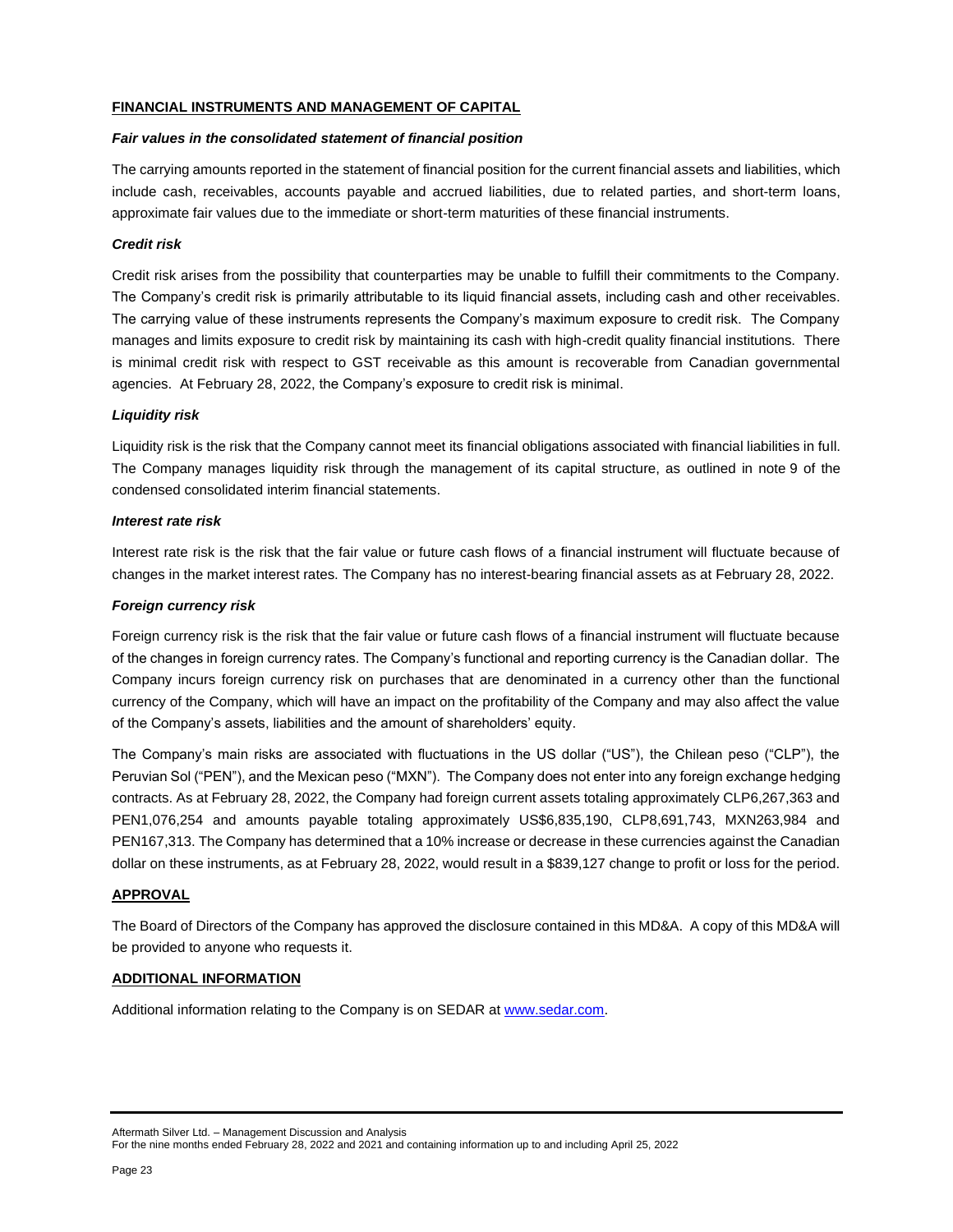## **FINANCIAL INSTRUMENTS AND MANAGEMENT OF CAPITAL**

#### *Fair values in the consolidated statement of financial position*

The carrying amounts reported in the statement of financial position for the current financial assets and liabilities, which include cash, receivables, accounts payable and accrued liabilities, due to related parties, and short-term loans, approximate fair values due to the immediate or short-term maturities of these financial instruments.

## *Credit risk*

Credit risk arises from the possibility that counterparties may be unable to fulfill their commitments to the Company. The Company's credit risk is primarily attributable to its liquid financial assets, including cash and other receivables. The carrying value of these instruments represents the Company's maximum exposure to credit risk. The Company manages and limits exposure to credit risk by maintaining its cash with high-credit quality financial institutions. There is minimal credit risk with respect to GST receivable as this amount is recoverable from Canadian governmental agencies. At February 28, 2022, the Company's exposure to credit risk is minimal.

## *Liquidity risk*

Liquidity risk is the risk that the Company cannot meet its financial obligations associated with financial liabilities in full. The Company manages liquidity risk through the management of its capital structure, as outlined in note 9 of the condensed consolidated interim financial statements.

## *Interest rate risk*

Interest rate risk is the risk that the fair value or future cash flows of a financial instrument will fluctuate because of changes in the market interest rates. The Company has no interest-bearing financial assets as at February 28, 2022.

## *Foreign currency risk*

Foreign currency risk is the risk that the fair value or future cash flows of a financial instrument will fluctuate because of the changes in foreign currency rates. The Company's functional and reporting currency is the Canadian dollar. The Company incurs foreign currency risk on purchases that are denominated in a currency other than the functional currency of the Company, which will have an impact on the profitability of the Company and may also affect the value of the Company's assets, liabilities and the amount of shareholders' equity.

The Company's main risks are associated with fluctuations in the US dollar ("US"), the Chilean peso ("CLP"), the Peruvian Sol ("PEN"), and the Mexican peso ("MXN"). The Company does not enter into any foreign exchange hedging contracts. As at February 28, 2022, the Company had foreign current assets totaling approximately CLP6,267,363 and PEN1,076,254 and amounts payable totaling approximately US\$6,835,190, CLP8,691,743, MXN263,984 and PEN167,313. The Company has determined that a 10% increase or decrease in these currencies against the Canadian dollar on these instruments, as at February 28, 2022, would result in a \$839,127 change to profit or loss for the period.

## **APPROVAL**

The Board of Directors of the Company has approved the disclosure contained in this MD&A. A copy of this MD&A will be provided to anyone who requests it.

## **ADDITIONAL INFORMATION**

Additional information relating to the Company is on SEDAR at [www.sedar.com.](http://www.sedar.com/)

Aftermath Silver Ltd. – Management Discussion and Analysis